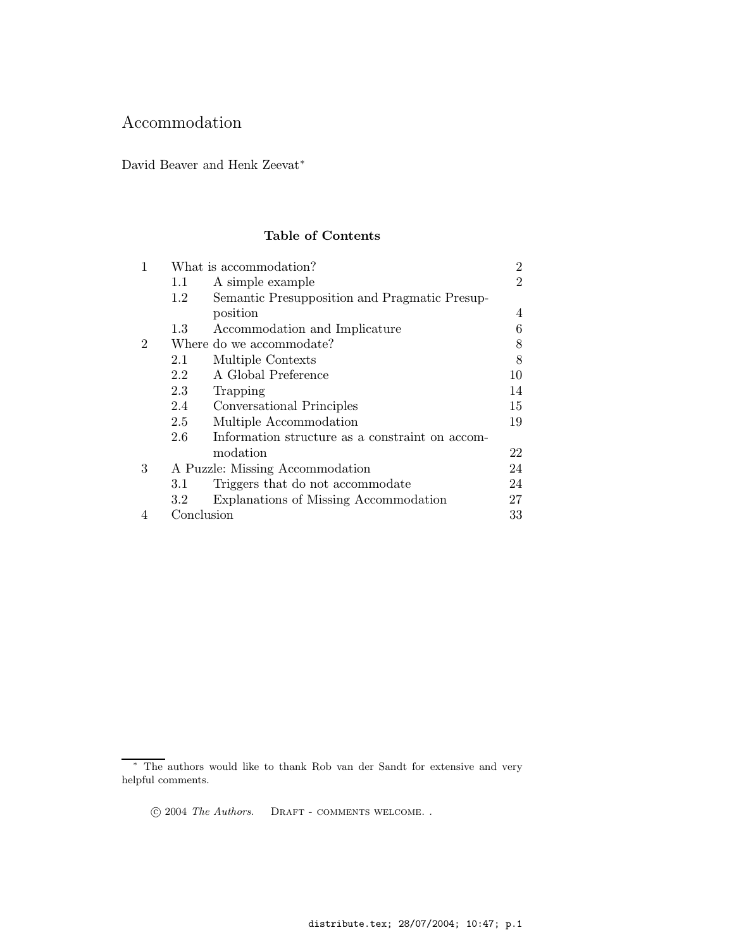# Accommodation

David Beaver and Henk Zeevat<sup>∗</sup>

# Table of Contents

|                | What is accommodation?          |                                                 | 2              |
|----------------|---------------------------------|-------------------------------------------------|----------------|
|                | $1.1\,$                         | A simple example                                | $\overline{2}$ |
|                | 1.2                             | Semantic Presupposition and Pragmatic Presup-   |                |
|                |                                 | position                                        | 4              |
|                | 1.3                             | Accommodation and Implicature                   | 6              |
| $\overline{2}$ |                                 | Where do we accommodate?                        | 8              |
|                | 2.1                             | Multiple Contexts                               | 8              |
|                | 2.2                             | A Global Preference                             | 10             |
|                | 2.3                             | Trapping                                        | 14             |
|                | 2.4                             | Conversational Principles                       | 15             |
|                | 2.5                             | Multiple Accommodation                          | 19             |
|                | 2.6                             | Information structure as a constraint on accom- |                |
|                |                                 | modation                                        | 22             |
| 3              | A Puzzle: Missing Accommodation |                                                 | 24             |
|                | 3.1                             | Triggers that do not accommodate                | 24             |
|                | 3.2                             | Explanations of Missing Accommodation           | 27             |
|                | Conclusion                      |                                                 | 33             |

<sup>∗</sup> The authors would like to thank Rob van der Sandt for extensive and very helpful comments.

c 2004 The Authors. Draft - comments welcome. .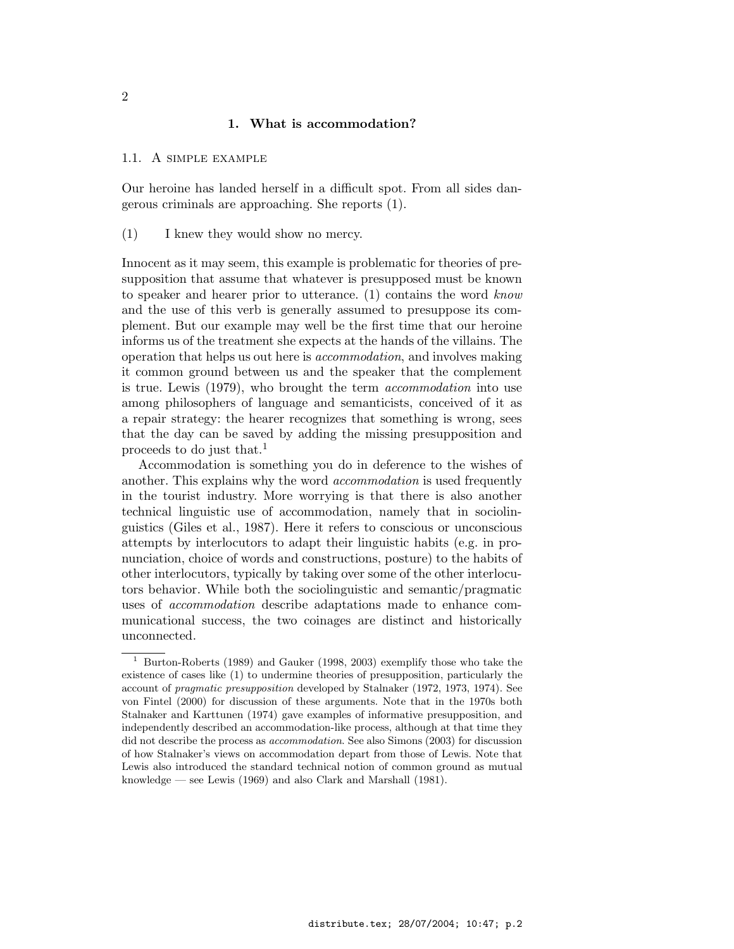### 1. What is accommodation?

### 1.1. A simple example

Our heroine has landed herself in a difficult spot. From all sides dangerous criminals are approaching. She reports (1).

(1) I knew they would show no mercy.

Innocent as it may seem, this example is problematic for theories of presupposition that assume that whatever is presupposed must be known to speaker and hearer prior to utterance. (1) contains the word know and the use of this verb is generally assumed to presuppose its complement. But our example may well be the first time that our heroine informs us of the treatment she expects at the hands of the villains. The operation that helps us out here is accommodation, and involves making it common ground between us and the speaker that the complement is true. Lewis (1979), who brought the term accommodation into use among philosophers of language and semanticists, conceived of it as a repair strategy: the hearer recognizes that something is wrong, sees that the day can be saved by adding the missing presupposition and proceeds to do just that.<sup>1</sup>

Accommodation is something you do in deference to the wishes of another. This explains why the word accommodation is used frequently in the tourist industry. More worrying is that there is also another technical linguistic use of accommodation, namely that in sociolinguistics (Giles et al., 1987). Here it refers to conscious or unconscious attempts by interlocutors to adapt their linguistic habits (e.g. in pronunciation, choice of words and constructions, posture) to the habits of other interlocutors, typically by taking over some of the other interlocutors behavior. While both the sociolinguistic and semantic/pragmatic uses of accommodation describe adaptations made to enhance communicational success, the two coinages are distinct and historically unconnected.

<sup>&</sup>lt;sup>1</sup> Burton-Roberts (1989) and Gauker (1998, 2003) exemplify those who take the existence of cases like (1) to undermine theories of presupposition, particularly the account of pragmatic presupposition developed by Stalnaker (1972, 1973, 1974). See von Fintel (2000) for discussion of these arguments. Note that in the 1970s both Stalnaker and Karttunen (1974) gave examples of informative presupposition, and independently described an accommodation-like process, although at that time they did not describe the process as accommodation. See also Simons (2003) for discussion of how Stalnaker's views on accommodation depart from those of Lewis. Note that Lewis also introduced the standard technical notion of common ground as mutual knowledge — see Lewis (1969) and also Clark and Marshall (1981).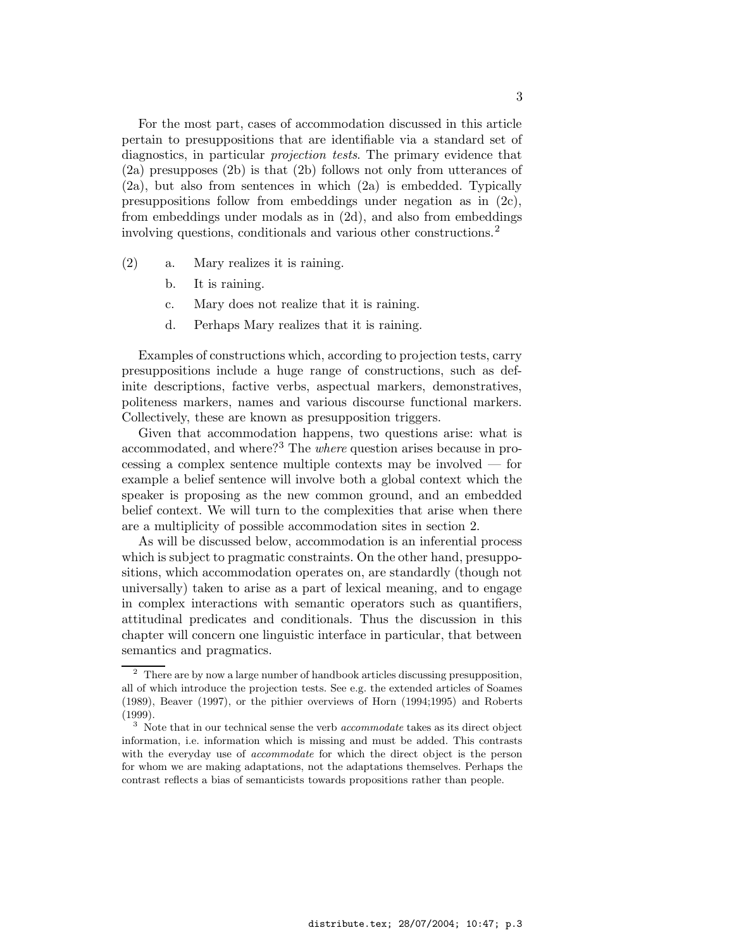For the most part, cases of accommodation discussed in this article pertain to presuppositions that are identifiable via a standard set of diagnostics, in particular *projection tests*. The primary evidence that (2a) presupposes (2b) is that (2b) follows not only from utterances of (2a), but also from sentences in which (2a) is embedded. Typically presuppositions follow from embeddings under negation as in  $(2c)$ , from embeddings under modals as in (2d), and also from embeddings involving questions, conditionals and various other constructions.<sup>2</sup>

- (2) a. Mary realizes it is raining.
	- b. It is raining.
	- c. Mary does not realize that it is raining.
	- d. Perhaps Mary realizes that it is raining.

Examples of constructions which, according to projection tests, carry presuppositions include a huge range of constructions, such as definite descriptions, factive verbs, aspectual markers, demonstratives, politeness markers, names and various discourse functional markers. Collectively, these are known as presupposition triggers.

Given that accommodation happens, two questions arise: what is accommodated, and where?<sup>3</sup> The *where* question arises because in processing a complex sentence multiple contexts may be involved — for example a belief sentence will involve both a global context which the speaker is proposing as the new common ground, and an embedded belief context. We will turn to the complexities that arise when there are a multiplicity of possible accommodation sites in section 2.

As will be discussed below, accommodation is an inferential process which is subject to pragmatic constraints. On the other hand, presuppositions, which accommodation operates on, are standardly (though not universally) taken to arise as a part of lexical meaning, and to engage in complex interactions with semantic operators such as quantifiers, attitudinal predicates and conditionals. Thus the discussion in this chapter will concern one linguistic interface in particular, that between semantics and pragmatics.

<sup>&</sup>lt;sup>2</sup> There are by now a large number of handbook articles discussing presupposition, all of which introduce the projection tests. See e.g. the extended articles of Soames (1989), Beaver (1997), or the pithier overviews of Horn (1994;1995) and Roberts (1999).

 $3$  Note that in our technical sense the verb *accommodate* takes as its direct object information, i.e. information which is missing and must be added. This contrasts with the everyday use of *accommodate* for which the direct object is the person for whom we are making adaptations, not the adaptations themselves. Perhaps the contrast reflects a bias of semanticists towards propositions rather than people.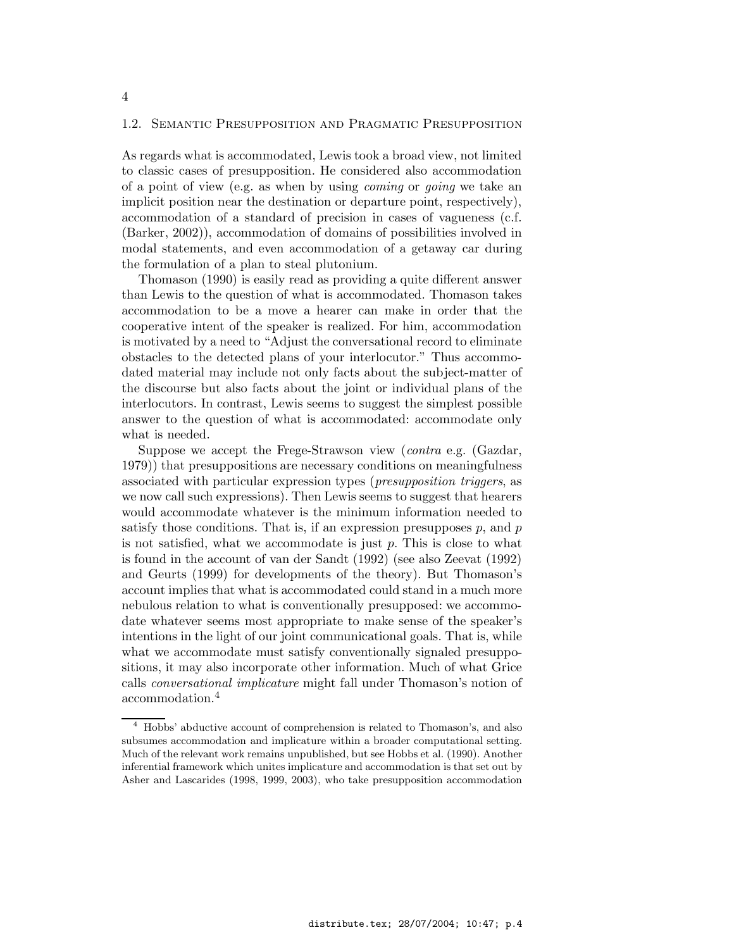### 1.2. Semantic Presupposition and Pragmatic Presupposition

As regards what is accommodated, Lewis took a broad view, not limited to classic cases of presupposition. He considered also accommodation of a point of view (e.g. as when by using coming or going we take an implicit position near the destination or departure point, respectively), accommodation of a standard of precision in cases of vagueness (c.f. (Barker, 2002)), accommodation of domains of possibilities involved in modal statements, and even accommodation of a getaway car during the formulation of a plan to steal plutonium.

Thomason (1990) is easily read as providing a quite different answer than Lewis to the question of what is accommodated. Thomason takes accommodation to be a move a hearer can make in order that the cooperative intent of the speaker is realized. For him, accommodation is motivated by a need to "Adjust the conversational record to eliminate obstacles to the detected plans of your interlocutor." Thus accommodated material may include not only facts about the subject-matter of the discourse but also facts about the joint or individual plans of the interlocutors. In contrast, Lewis seems to suggest the simplest possible answer to the question of what is accommodated: accommodate only what is needed.

Suppose we accept the Frege-Strawson view (contra e.g. (Gazdar, 1979)) that presuppositions are necessary conditions on meaningfulness associated with particular expression types (presupposition triggers, as we now call such expressions). Then Lewis seems to suggest that hearers would accommodate whatever is the minimum information needed to satisfy those conditions. That is, if an expression presupposes  $p$ , and  $p$ is not satisfied, what we accommodate is just  $p$ . This is close to what is found in the account of van der Sandt (1992) (see also Zeevat (1992) and Geurts (1999) for developments of the theory). But Thomason's account implies that what is accommodated could stand in a much more nebulous relation to what is conventionally presupposed: we accommodate whatever seems most appropriate to make sense of the speaker's intentions in the light of our joint communicational goals. That is, while what we accommodate must satisfy conventionally signaled presuppositions, it may also incorporate other information. Much of what Grice calls conversational implicature might fall under Thomason's notion of accommodation.<sup>4</sup>

 $^4\,$  Hobbs' abductive account of comprehension is related to Thomason's, and also subsumes accommodation and implicature within a broader computational setting. Much of the relevant work remains unpublished, but see Hobbs et al. (1990). Another inferential framework which unites implicature and accommodation is that set out by Asher and Lascarides (1998, 1999, 2003), who take presupposition accommodation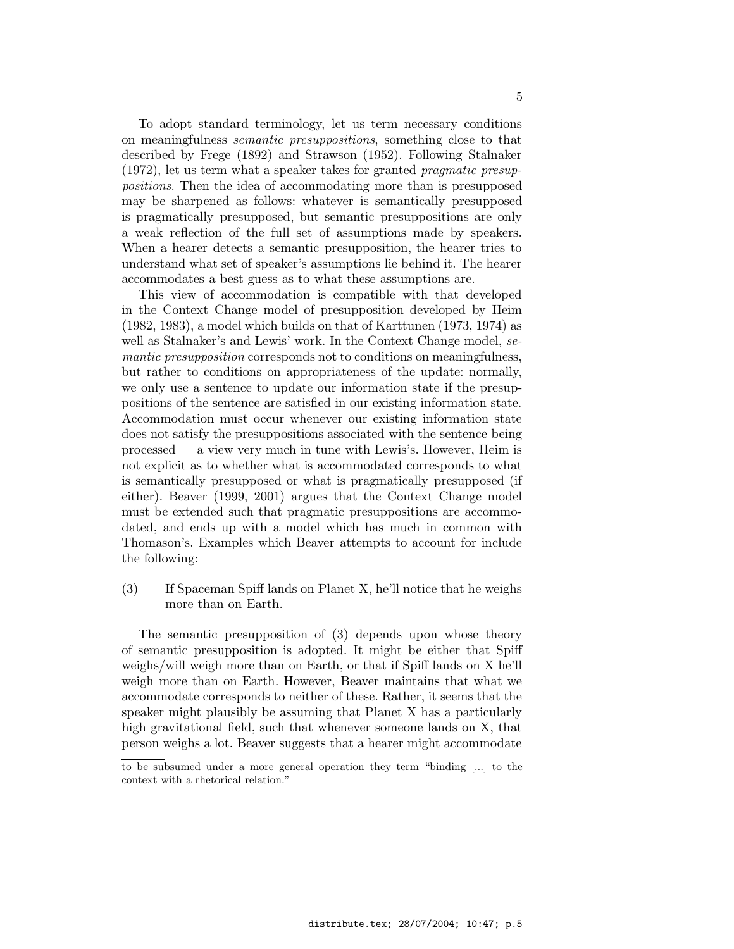To adopt standard terminology, let us term necessary conditions on meaningfulness semantic presuppositions, something close to that described by Frege (1892) and Strawson (1952). Following Stalnaker  $(1972)$ , let us term what a speaker takes for granted *pragmatic presup*positions. Then the idea of accommodating more than is presupposed may be sharpened as follows: whatever is semantically presupposed is pragmatically presupposed, but semantic presuppositions are only a weak reflection of the full set of assumptions made by speakers. When a hearer detects a semantic presupposition, the hearer tries to understand what set of speaker's assumptions lie behind it. The hearer accommodates a best guess as to what these assumptions are.

This view of accommodation is compatible with that developed in the Context Change model of presupposition developed by Heim (1982, 1983), a model which builds on that of Karttunen (1973, 1974) as well as Stalnaker's and Lewis' work. In the Context Change model, semantic presupposition corresponds not to conditions on meaningfulness, but rather to conditions on appropriateness of the update: normally, we only use a sentence to update our information state if the presuppositions of the sentence are satisfied in our existing information state. Accommodation must occur whenever our existing information state does not satisfy the presuppositions associated with the sentence being processed — a view very much in tune with Lewis's. However, Heim is not explicit as to whether what is accommodated corresponds to what is semantically presupposed or what is pragmatically presupposed (if either). Beaver (1999, 2001) argues that the Context Change model must be extended such that pragmatic presuppositions are accommodated, and ends up with a model which has much in common with Thomason's. Examples which Beaver attempts to account for include the following:

(3) If Spaceman Spiff lands on Planet X, he'll notice that he weighs more than on Earth.

The semantic presupposition of (3) depends upon whose theory of semantic presupposition is adopted. It might be either that Spiff weighs/will weigh more than on Earth, or that if Spiff lands on X he'll weigh more than on Earth. However, Beaver maintains that what we accommodate corresponds to neither of these. Rather, it seems that the speaker might plausibly be assuming that Planet X has a particularly high gravitational field, such that whenever someone lands on X, that person weighs a lot. Beaver suggests that a hearer might accommodate

to be subsumed under a more general operation they term "binding [...] to the context with a rhetorical relation."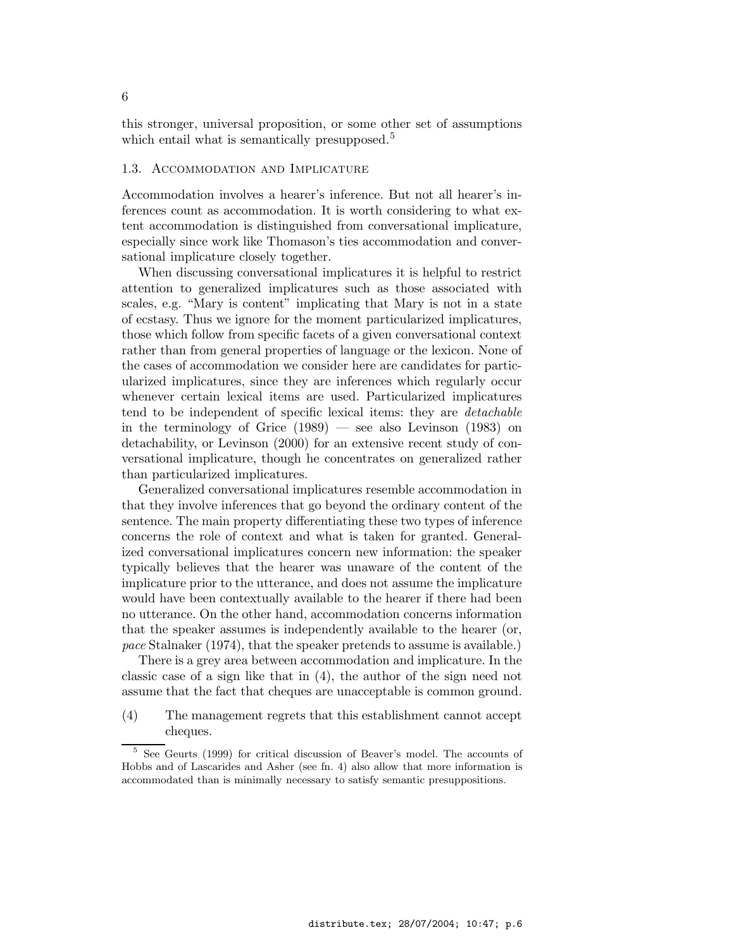this stronger, universal proposition, or some other set of assumptions which entail what is semantically presupposed.<sup>5</sup>

### 1.3. Accommodation and Implicature

Accommodation involves a hearer's inference. But not all hearer's inferences count as accommodation. It is worth considering to what extent accommodation is distinguished from conversational implicature, especially since work like Thomason's ties accommodation and conversational implicature closely together.

When discussing conversational implicatures it is helpful to restrict attention to generalized implicatures such as those associated with scales, e.g. "Mary is content" implicating that Mary is not in a state of ecstasy. Thus we ignore for the moment particularized implicatures, those which follow from specific facets of a given conversational context rather than from general properties of language or the lexicon. None of the cases of accommodation we consider here are candidates for particularized implicatures, since they are inferences which regularly occur whenever certain lexical items are used. Particularized implicatures tend to be independent of specific lexical items: they are detachable in the terminology of Grice (1989) — see also Levinson (1983) on detachability, or Levinson (2000) for an extensive recent study of conversational implicature, though he concentrates on generalized rather than particularized implicatures.

Generalized conversational implicatures resemble accommodation in that they involve inferences that go beyond the ordinary content of the sentence. The main property differentiating these two types of inference concerns the role of context and what is taken for granted. Generalized conversational implicatures concern new information: the speaker typically believes that the hearer was unaware of the content of the implicature prior to the utterance, and does not assume the implicature would have been contextually available to the hearer if there had been no utterance. On the other hand, accommodation concerns information that the speaker assumes is independently available to the hearer (or, pace Stalnaker (1974), that the speaker pretends to assume is available.)

There is a grey area between accommodation and implicature. In the classic case of a sign like that in (4), the author of the sign need not assume that the fact that cheques are unacceptable is common ground.

(4) The management regrets that this establishment cannot accept cheques.

<sup>5</sup> See Geurts (1999) for critical discussion of Beaver's model. The accounts of Hobbs and of Lascarides and Asher (see fn. 4) also allow that more information is accommodated than is minimally necessary to satisfy semantic presuppositions.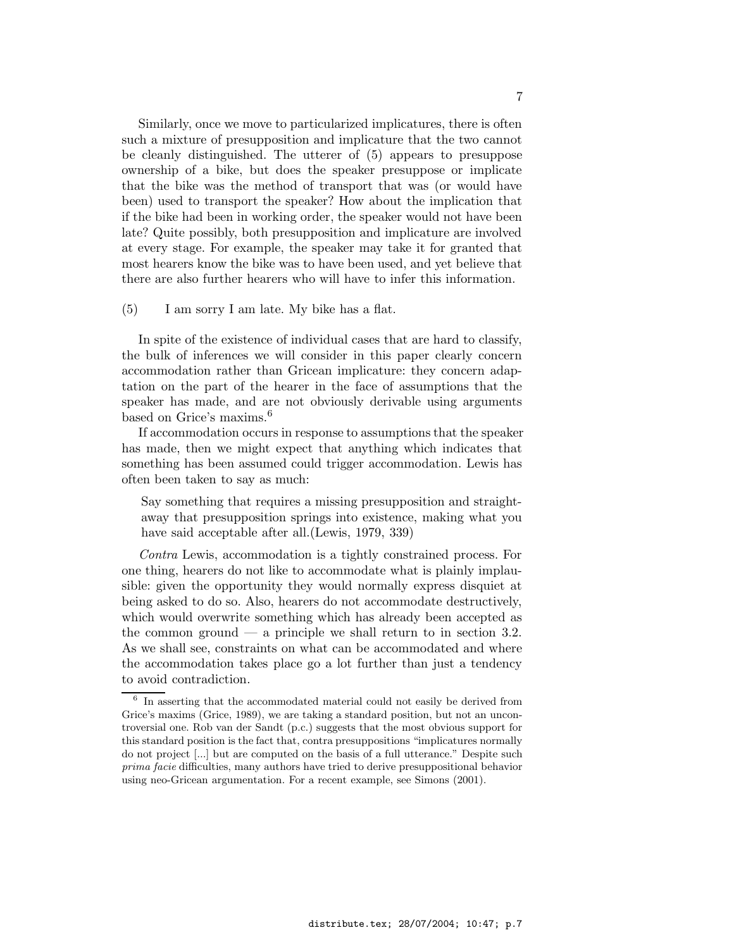Similarly, once we move to particularized implicatures, there is often such a mixture of presupposition and implicature that the two cannot be cleanly distinguished. The utterer of (5) appears to presuppose ownership of a bike, but does the speaker presuppose or implicate that the bike was the method of transport that was (or would have been) used to transport the speaker? How about the implication that if the bike had been in working order, the speaker would not have been late? Quite possibly, both presupposition and implicature are involved at every stage. For example, the speaker may take it for granted that most hearers know the bike was to have been used, and yet believe that there are also further hearers who will have to infer this information.

(5) I am sorry I am late. My bike has a flat.

In spite of the existence of individual cases that are hard to classify, the bulk of inferences we will consider in this paper clearly concern accommodation rather than Gricean implicature: they concern adaptation on the part of the hearer in the face of assumptions that the speaker has made, and are not obviously derivable using arguments based on Grice's maxims.<sup>6</sup>

If accommodation occurs in response to assumptions that the speaker has made, then we might expect that anything which indicates that something has been assumed could trigger accommodation. Lewis has often been taken to say as much:

Say something that requires a missing presupposition and straightaway that presupposition springs into existence, making what you have said acceptable after all.(Lewis, 1979, 339)

Contra Lewis, accommodation is a tightly constrained process. For one thing, hearers do not like to accommodate what is plainly implausible: given the opportunity they would normally express disquiet at being asked to do so. Also, hearers do not accommodate destructively, which would overwrite something which has already been accepted as the common ground  $-$  a principle we shall return to in section 3.2. As we shall see, constraints on what can be accommodated and where the accommodation takes place go a lot further than just a tendency to avoid contradiction.

<sup>&</sup>lt;sup>6</sup> In asserting that the accommodated material could not easily be derived from Grice's maxims (Grice, 1989), we are taking a standard position, but not an uncontroversial one. Rob van der Sandt (p.c.) suggests that the most obvious support for this standard position is the fact that, contra presuppositions "implicatures normally do not project [...] but are computed on the basis of a full utterance." Despite such prima facie difficulties, many authors have tried to derive presuppositional behavior using neo-Gricean argumentation. For a recent example, see Simons (2001).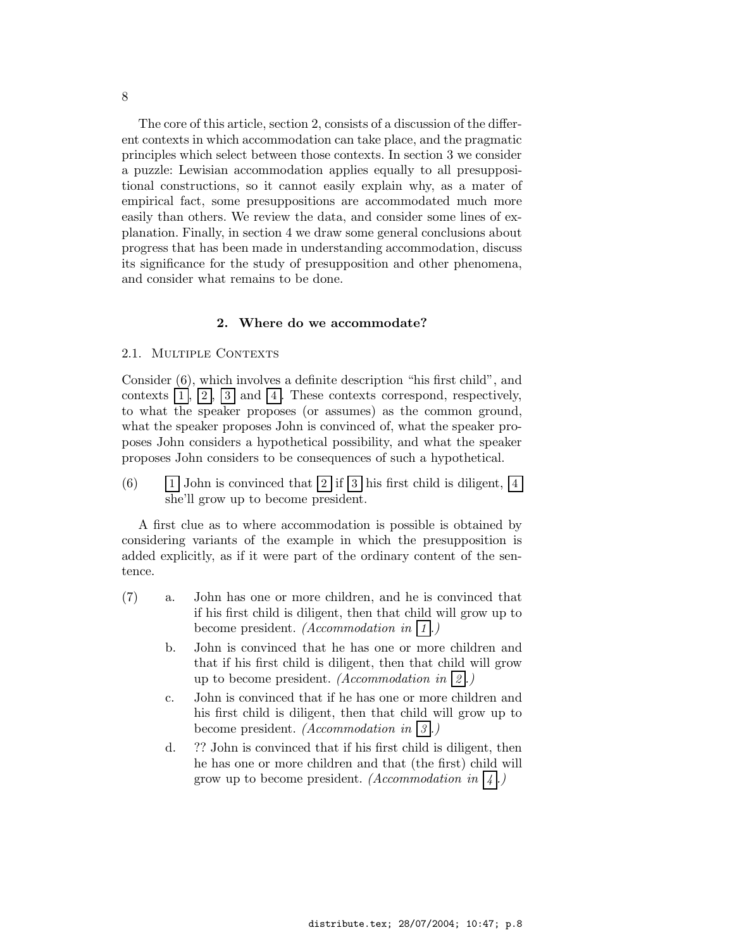The core of this article, section 2, consists of a discussion of the different contexts in which accommodation can take place, and the pragmatic principles which select between those contexts. In section 3 we consider a puzzle: Lewisian accommodation applies equally to all presuppositional constructions, so it cannot easily explain why, as a mater of empirical fact, some presuppositions are accommodated much more easily than others. We review the data, and consider some lines of explanation. Finally, in section 4 we draw some general conclusions about progress that has been made in understanding accommodation, discuss its significance for the study of presupposition and other phenomena, and consider what remains to be done.

### 2. Where do we accommodate?

#### 2.1. MULTIPLE CONTEXTS

Consider (6), which involves a definite description "his first child", and contexts  $|1|, |2|, |3|$  and  $|4|$ . These contexts correspond, respectively, to what the speaker proposes (or assumes) as the common ground, what the speaker proposes John is convinced of, what the speaker proposes John considers a hypothetical possibility, and what the speaker proposes John considers to be consequences of such a hypothetical.

(6) 1 John is convinced that  $\boxed{2}$  if  $\boxed{3}$  his first child is diligent,  $\boxed{4}$ she'll grow up to become president.

A first clue as to where accommodation is possible is obtained by considering variants of the example in which the presupposition is added explicitly, as if it were part of the ordinary content of the sentence.

- (7) a. John has one or more children, and he is convinced that if his first child is diligent, then that child will grow up to become president. *(Accommodation in*  $|1|$ .)
	- b. John is convinced that he has one or more children and that if his first child is diligent, then that child will grow up to become president. (Accommodation in  $(2)$ .)
	- c. John is convinced that if he has one or more children and his first child is diligent, then that child will grow up to become president. *(Accommodation in*  $|3|$ .)
	- d. ?? John is convinced that if his first child is diligent, then he has one or more children and that (the first) child will grow up to become president. (Accommodation in  $\vert 4 \vert$ .)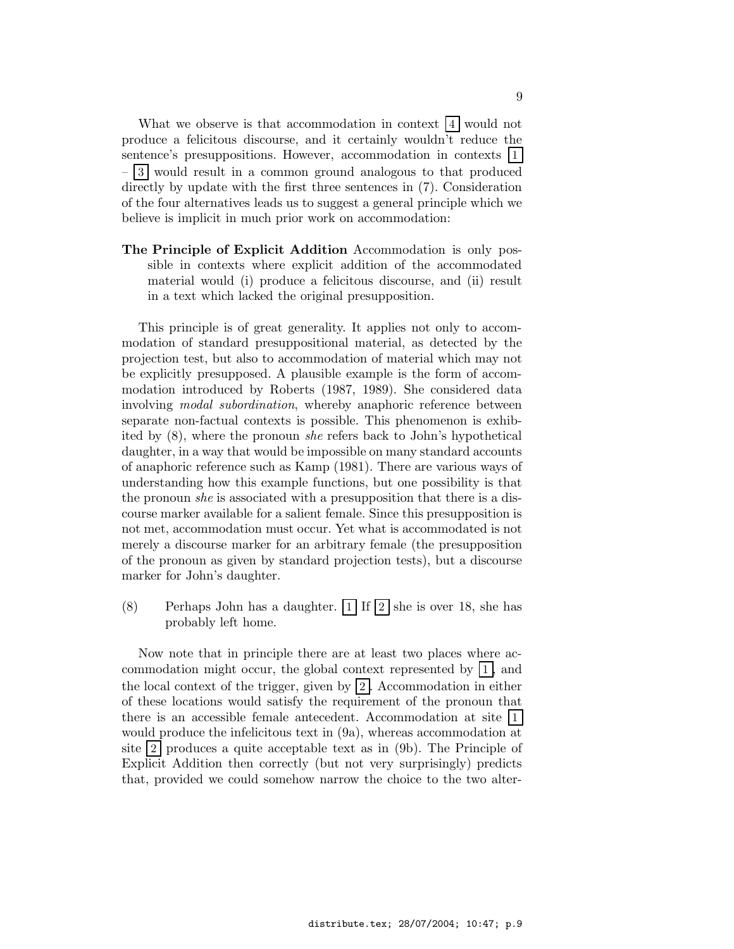What we observe is that accommodation in context  $\vert 4 \vert$  would not produce a felicitous discourse, and it certainly wouldn't reduce the sentence's presuppositions. However, accommodation in contexts |1|  $-3$  would result in a common ground analogous to that produced directly by update with the first three sentences in (7). Consideration of the four alternatives leads us to suggest a general principle which we believe is implicit in much prior work on accommodation:

The Principle of Explicit Addition Accommodation is only possible in contexts where explicit addition of the accommodated material would (i) produce a felicitous discourse, and (ii) result in a text which lacked the original presupposition.

This principle is of great generality. It applies not only to accommodation of standard presuppositional material, as detected by the projection test, but also to accommodation of material which may not be explicitly presupposed. A plausible example is the form of accommodation introduced by Roberts (1987, 1989). She considered data involving modal subordination, whereby anaphoric reference between separate non-factual contexts is possible. This phenomenon is exhibited by (8), where the pronoun she refers back to John's hypothetical daughter, in a way that would be impossible on many standard accounts of anaphoric reference such as Kamp (1981). There are various ways of understanding how this example functions, but one possibility is that the pronoun *she* is associated with a presupposition that there is a discourse marker available for a salient female. Since this presupposition is not met, accommodation must occur. Yet what is accommodated is not merely a discourse marker for an arbitrary female (the presupposition of the pronoun as given by standard projection tests), but a discourse marker for John's daughter.

(8) Perhaps John has a daughter.  $|1|$  If  $|2|$  she is over 18, she has probably left home.

Now note that in principle there are at least two places where accommodation might occur, the global context represented by 1 , and the local context of the trigger, given by  $|2|$ . Accommodation in either of these locations would satisfy the requirement of the pronoun that there is an accessible female antecedent. Accommodation at site 1 would produce the infelicitous text in (9a), whereas accommodation at site  $|2|$  produces a quite acceptable text as in  $(9b)$ . The Principle of Explicit Addition then correctly (but not very surprisingly) predicts that, provided we could somehow narrow the choice to the two alter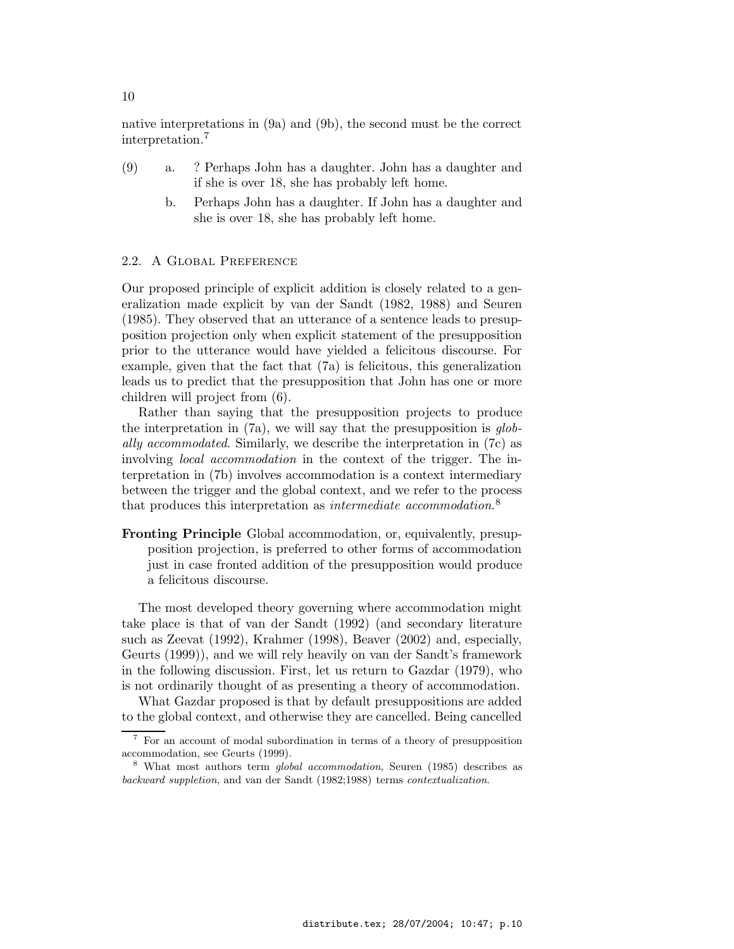native interpretations in (9a) and (9b), the second must be the correct interpretation.<sup>7</sup>

- (9) a. ? Perhaps John has a daughter. John has a daughter and if she is over 18, she has probably left home.
	- b. Perhaps John has a daughter. If John has a daughter and she is over 18, she has probably left home.

# 2.2. A Global Preference

Our proposed principle of explicit addition is closely related to a generalization made explicit by van der Sandt (1982, 1988) and Seuren (1985). They observed that an utterance of a sentence leads to presupposition projection only when explicit statement of the presupposition prior to the utterance would have yielded a felicitous discourse. For example, given that the fact that (7a) is felicitous, this generalization leads us to predict that the presupposition that John has one or more children will project from (6).

Rather than saying that the presupposition projects to produce the interpretation in (7a), we will say that the presupposition is globally accommodated. Similarly, we describe the interpretation in (7c) as involving local accommodation in the context of the trigger. The interpretation in (7b) involves accommodation is a context intermediary between the trigger and the global context, and we refer to the process that produces this interpretation as *intermediate accommodation*.<sup>8</sup>

Fronting Principle Global accommodation, or, equivalently, presupposition projection, is preferred to other forms of accommodation just in case fronted addition of the presupposition would produce a felicitous discourse.

The most developed theory governing where accommodation might take place is that of van der Sandt (1992) (and secondary literature such as Zeevat (1992), Krahmer (1998), Beaver (2002) and, especially, Geurts (1999)), and we will rely heavily on van der Sandt's framework in the following discussion. First, let us return to Gazdar (1979), who is not ordinarily thought of as presenting a theory of accommodation.

What Gazdar proposed is that by default presuppositions are added to the global context, and otherwise they are cancelled. Being cancelled

<sup>7</sup> For an account of modal subordination in terms of a theory of presupposition accommodation, see Geurts (1999).

<sup>&</sup>lt;sup>8</sup> What most authors term *global accommodation*, Seuren (1985) describes as backward suppletion, and van der Sandt (1982;1988) terms contextualization.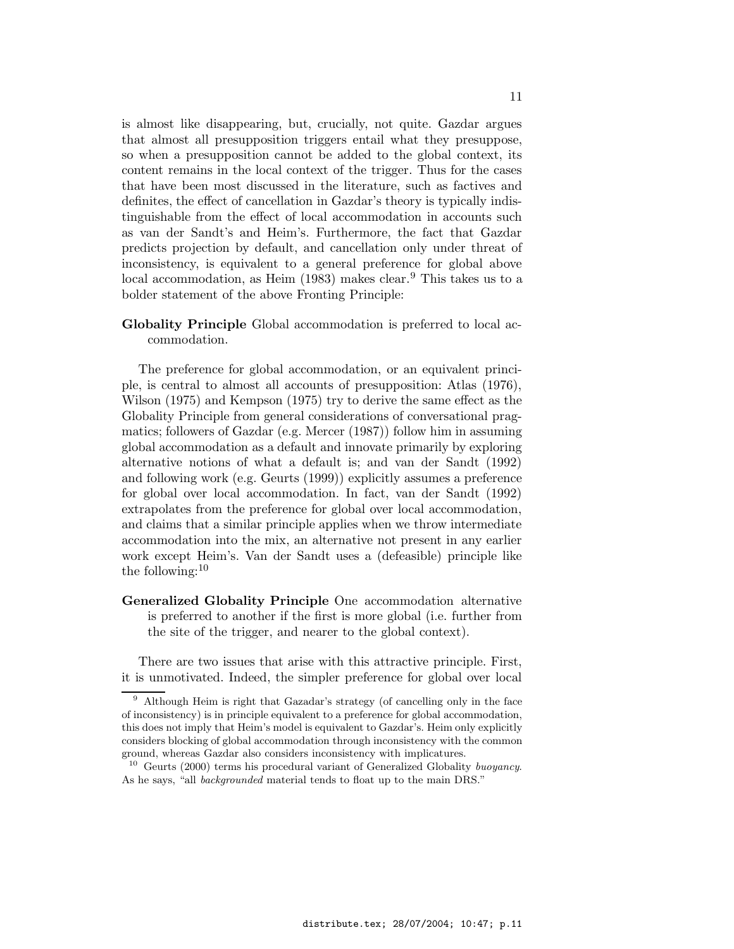is almost like disappearing, but, crucially, not quite. Gazdar argues that almost all presupposition triggers entail what they presuppose, so when a presupposition cannot be added to the global context, its content remains in the local context of the trigger. Thus for the cases that have been most discussed in the literature, such as factives and definites, the effect of cancellation in Gazdar's theory is typically indistinguishable from the effect of local accommodation in accounts such as van der Sandt's and Heim's. Furthermore, the fact that Gazdar predicts projection by default, and cancellation only under threat of inconsistency, is equivalent to a general preference for global above local accommodation, as Heim (1983) makes clear.<sup>9</sup> This takes us to a bolder statement of the above Fronting Principle:

Globality Principle Global accommodation is preferred to local accommodation.

The preference for global accommodation, or an equivalent principle, is central to almost all accounts of presupposition: Atlas (1976), Wilson (1975) and Kempson (1975) try to derive the same effect as the Globality Principle from general considerations of conversational pragmatics; followers of Gazdar (e.g. Mercer (1987)) follow him in assuming global accommodation as a default and innovate primarily by exploring alternative notions of what a default is; and van der Sandt (1992) and following work (e.g. Geurts (1999)) explicitly assumes a preference for global over local accommodation. In fact, van der Sandt (1992) extrapolates from the preference for global over local accommodation, and claims that a similar principle applies when we throw intermediate accommodation into the mix, an alternative not present in any earlier work except Heim's. Van der Sandt uses a (defeasible) principle like the following:  $10$ 

Generalized Globality Principle One accommodation alternative is preferred to another if the first is more global (i.e. further from the site of the trigger, and nearer to the global context).

There are two issues that arise with this attractive principle. First, it is unmotivated. Indeed, the simpler preference for global over local

<sup>9</sup> Although Heim is right that Gazadar's strategy (of cancelling only in the face of inconsistency) is in principle equivalent to a preference for global accommodation, this does not imply that Heim's model is equivalent to Gazdar's. Heim only explicitly considers blocking of global accommodation through inconsistency with the common ground, whereas Gazdar also considers inconsistency with implicatures.

<sup>&</sup>lt;sup>10</sup> Geurts (2000) terms his procedural variant of Generalized Globality buoyancy. As he says, "all *backgrounded* material tends to float up to the main DRS."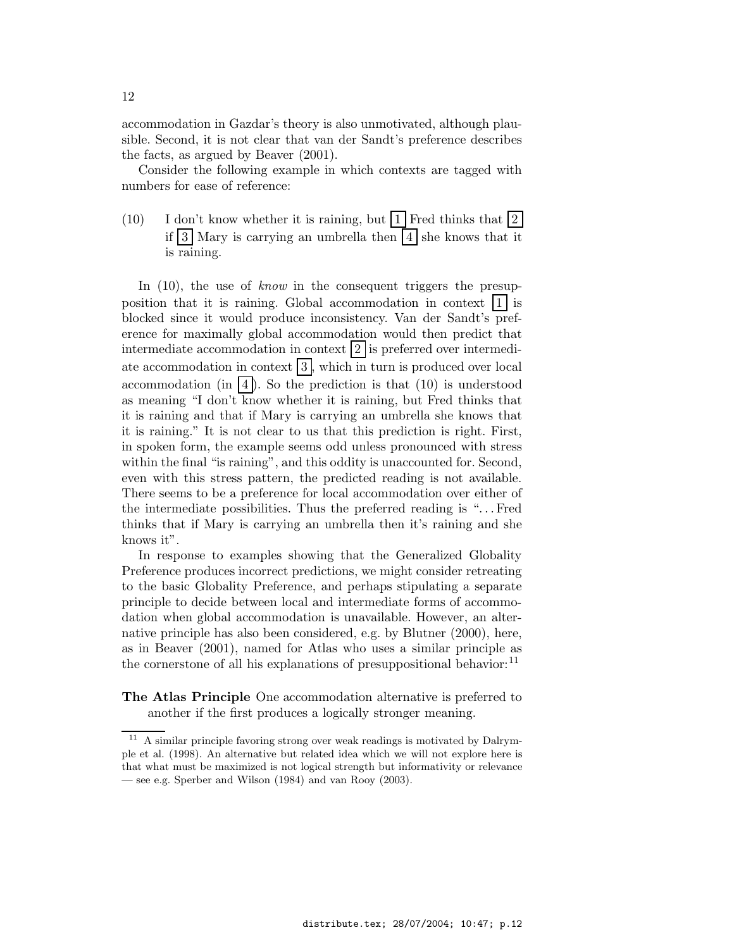accommodation in Gazdar's theory is also unmotivated, although plausible. Second, it is not clear that van der Sandt's preference describes the facts, as argued by Beaver (2001).

Consider the following example in which contexts are tagged with numbers for ease of reference:

 $(10)$  I don't know whether it is raining, but |1 Fred thinks that |2 if  $3$  Mary is carrying an umbrella then  $4$  she knows that it is raining.

In (10), the use of *know* in the consequent triggers the presupposition that it is raining. Global accommodation in context  $|1|$  is blocked since it would produce inconsistency. Van der Sandt's preference for maximally global accommodation would then predict that intermediate accommodation in context  $|2|$  is preferred over intermediate accommodation in context  $\boxed{3}$ , which in turn is produced over local accommodation (in  $\vert 4 \vert$ ). So the prediction is that (10) is understood as meaning "I don't know whether it is raining, but Fred thinks that it is raining and that if Mary is carrying an umbrella she knows that it is raining." It is not clear to us that this prediction is right. First, in spoken form, the example seems odd unless pronounced with stress within the final "is raining", and this oddity is unaccounted for. Second, even with this stress pattern, the predicted reading is not available. There seems to be a preference for local accommodation over either of the intermediate possibilities. Thus the preferred reading is ". . . Fred thinks that if Mary is carrying an umbrella then it's raining and she knows it".

In response to examples showing that the Generalized Globality Preference produces incorrect predictions, we might consider retreating to the basic Globality Preference, and perhaps stipulating a separate principle to decide between local and intermediate forms of accommodation when global accommodation is unavailable. However, an alternative principle has also been considered, e.g. by Blutner (2000), here, as in Beaver (2001), named for Atlas who uses a similar principle as the cornerstone of all his explanations of presuppositional behavior: $^{11}$ 

The Atlas Principle One accommodation alternative is preferred to another if the first produces a logically stronger meaning.

<sup>11</sup> A similar principle favoring strong over weak readings is motivated by Dalrymple et al. (1998). An alternative but related idea which we will not explore here is that what must be maximized is not logical strength but informativity or relevance — see e.g. Sperber and Wilson (1984) and van Rooy (2003).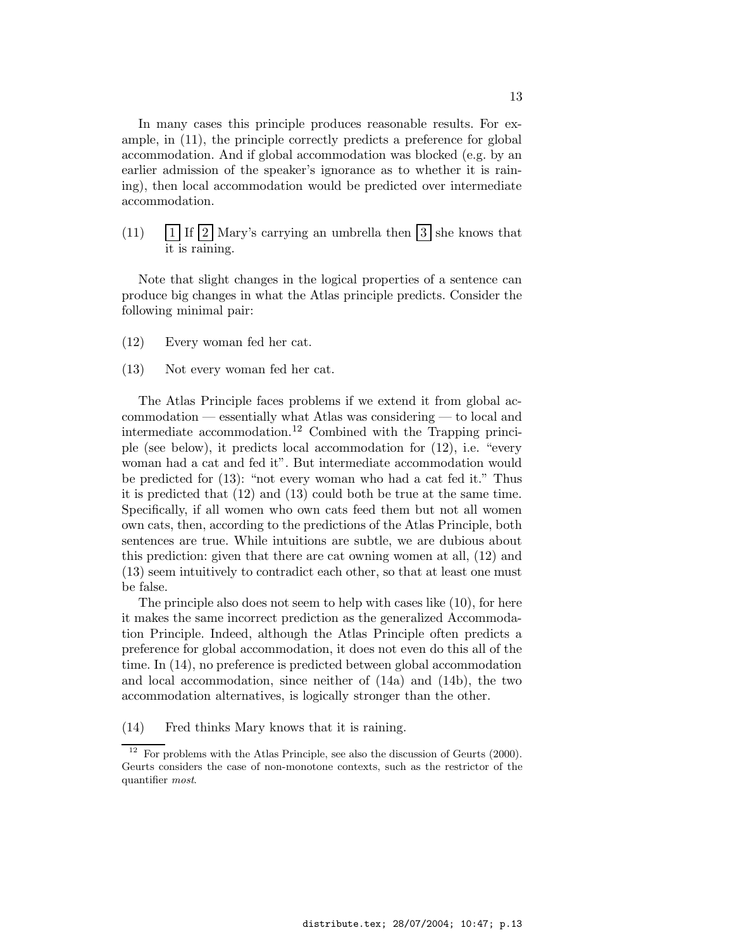In many cases this principle produces reasonable results. For example, in (11), the principle correctly predicts a preference for global accommodation. And if global accommodation was blocked (e.g. by an earlier admission of the speaker's ignorance as to whether it is raining), then local accommodation would be predicted over intermediate accommodation.

(11)  $\boxed{1}$  If  $\boxed{2}$  Mary's carrying an umbrella then  $\boxed{3}$  she knows that it is raining.

Note that slight changes in the logical properties of a sentence can produce big changes in what the Atlas principle predicts. Consider the following minimal pair:

- (12) Every woman fed her cat.
- (13) Not every woman fed her cat.

The Atlas Principle faces problems if we extend it from global accommodation — essentially what Atlas was considering — to local and intermediate accommodation.<sup>12</sup> Combined with the Trapping principle (see below), it predicts local accommodation for (12), i.e. "every woman had a cat and fed it". But intermediate accommodation would be predicted for (13): "not every woman who had a cat fed it." Thus it is predicted that (12) and (13) could both be true at the same time. Specifically, if all women who own cats feed them but not all women own cats, then, according to the predictions of the Atlas Principle, both sentences are true. While intuitions are subtle, we are dubious about this prediction: given that there are cat owning women at all, (12) and (13) seem intuitively to contradict each other, so that at least one must be false.

The principle also does not seem to help with cases like (10), for here it makes the same incorrect prediction as the generalized Accommodation Principle. Indeed, although the Atlas Principle often predicts a preference for global accommodation, it does not even do this all of the time. In (14), no preference is predicted between global accommodation and local accommodation, since neither of (14a) and (14b), the two accommodation alternatives, is logically stronger than the other.

(14) Fred thinks Mary knows that it is raining.

 $12$  For problems with the Atlas Principle, see also the discussion of Geurts (2000). Geurts considers the case of non-monotone contexts, such as the restrictor of the quantifier most.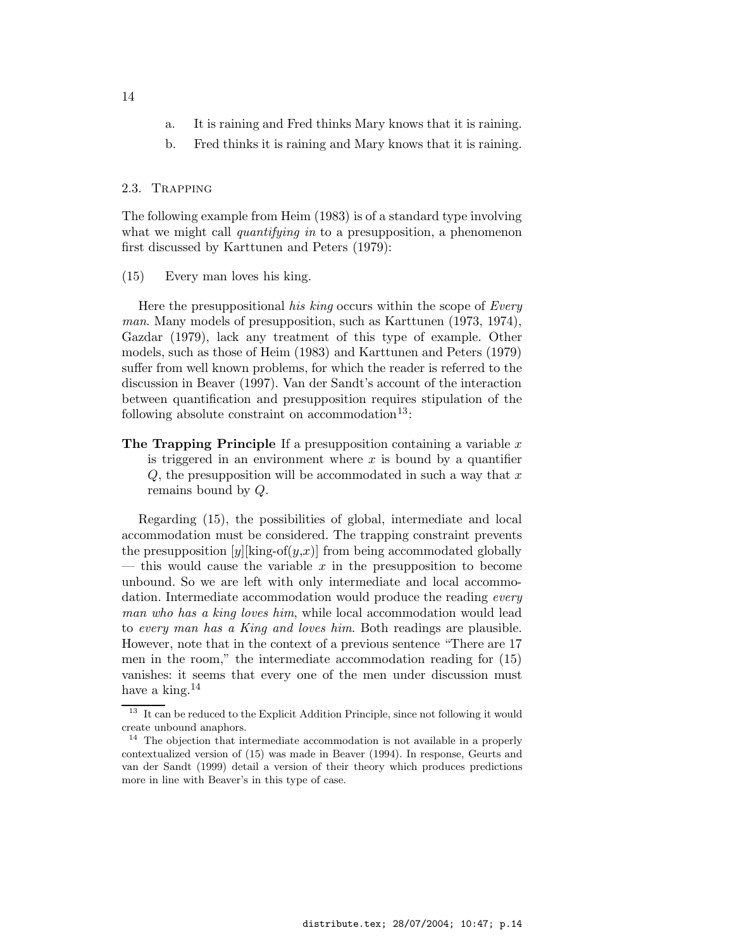- a. It is raining and Fred thinks Mary knows that it is raining.
- b. Fred thinks it is raining and Mary knows that it is raining.

### 2.3. Trapping

The following example from Heim (1983) is of a standard type involving what we might call *quantifying in* to a presupposition, a phenomenon first discussed by Karttunen and Peters (1979):

### (15) Every man loves his king.

Here the presuppositional his king occurs within the scope of Every man. Many models of presupposition, such as Karttunen (1973, 1974), Gazdar (1979), lack any treatment of this type of example. Other models, such as those of Heim (1983) and Karttunen and Peters (1979) suffer from well known problems, for which the reader is referred to the discussion in Beaver (1997). Van der Sandt's account of the interaction between quantification and presupposition requires stipulation of the following absolute constraint on accommodation<sup>13</sup>:

**The Trapping Principle** If a presupposition containing a variable  $x$ is triggered in an environment where  $x$  is bound by a quantifier  $Q$ , the presupposition will be accommodated in such a way that  $x$ remains bound by Q.

Regarding (15), the possibilities of global, intermediate and local accommodation must be considered. The trapping constraint prevents the presupposition  $[y][\text{king-of}(y,x)]$  from being accommodated globally — this would cause the variable  $x$  in the presupposition to become unbound. So we are left with only intermediate and local accommodation. Intermediate accommodation would produce the reading *every* man who has a king loves him, while local accommodation would lead to every man has a King and loves him. Both readings are plausible. However, note that in the context of a previous sentence "There are 17 men in the room," the intermediate accommodation reading for (15) vanishes: it seems that every one of the men under discussion must have a king. $^{14}$ 

 $^{13}\,$  It can be reduced to the Explicit Addition Principle, since not following it would create unbound anaphors.

<sup>&</sup>lt;sup>14</sup> The objection that intermediate accommodation is not available in a properly contextualized version of (15) was made in Beaver (1994). In response, Geurts and van der Sandt (1999) detail a version of their theory which produces predictions more in line with Beaver's in this type of case.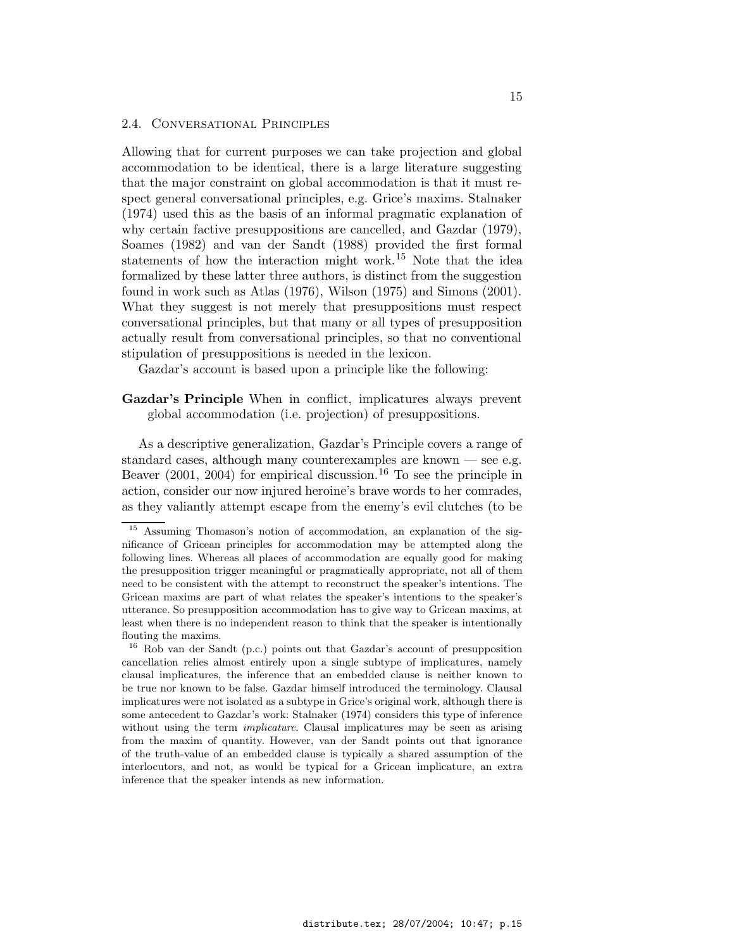### 2.4. Conversational Principles

Allowing that for current purposes we can take projection and global accommodation to be identical, there is a large literature suggesting that the major constraint on global accommodation is that it must respect general conversational principles, e.g. Grice's maxims. Stalnaker (1974) used this as the basis of an informal pragmatic explanation of why certain factive presuppositions are cancelled, and Gazdar (1979), Soames (1982) and van der Sandt (1988) provided the first formal statements of how the interaction might work.<sup>15</sup> Note that the idea formalized by these latter three authors, is distinct from the suggestion found in work such as Atlas (1976), Wilson (1975) and Simons (2001). What they suggest is not merely that presuppositions must respect conversational principles, but that many or all types of presupposition actually result from conversational principles, so that no conventional stipulation of presuppositions is needed in the lexicon.

Gazdar's account is based upon a principle like the following:

# Gazdar's Principle When in conflict, implicatures always prevent global accommodation (i.e. projection) of presuppositions.

As a descriptive generalization, Gazdar's Principle covers a range of standard cases, although many counterexamples are known — see e.g. Beaver  $(2001, 2004)$  for empirical discussion.<sup>16</sup> To see the principle in action, consider our now injured heroine's brave words to her comrades, as they valiantly attempt escape from the enemy's evil clutches (to be

<sup>15</sup> Assuming Thomason's notion of accommodation, an explanation of the significance of Gricean principles for accommodation may be attempted along the following lines. Whereas all places of accommodation are equally good for making the presupposition trigger meaningful or pragmatically appropriate, not all of them need to be consistent with the attempt to reconstruct the speaker's intentions. The Gricean maxims are part of what relates the speaker's intentions to the speaker's utterance. So presupposition accommodation has to give way to Gricean maxims, at least when there is no independent reason to think that the speaker is intentionally flouting the maxims.

<sup>16</sup> Rob van der Sandt (p.c.) points out that Gazdar's account of presupposition cancellation relies almost entirely upon a single subtype of implicatures, namely clausal implicatures, the inference that an embedded clause is neither known to be true nor known to be false. Gazdar himself introduced the terminology. Clausal implicatures were not isolated as a subtype in Grice's original work, although there is some antecedent to Gazdar's work: Stalnaker (1974) considers this type of inference without using the term *implicature*. Clausal implicatures may be seen as arising from the maxim of quantity. However, van der Sandt points out that ignorance of the truth-value of an embedded clause is typically a shared assumption of the interlocutors, and not, as would be typical for a Gricean implicature, an extra inference that the speaker intends as new information.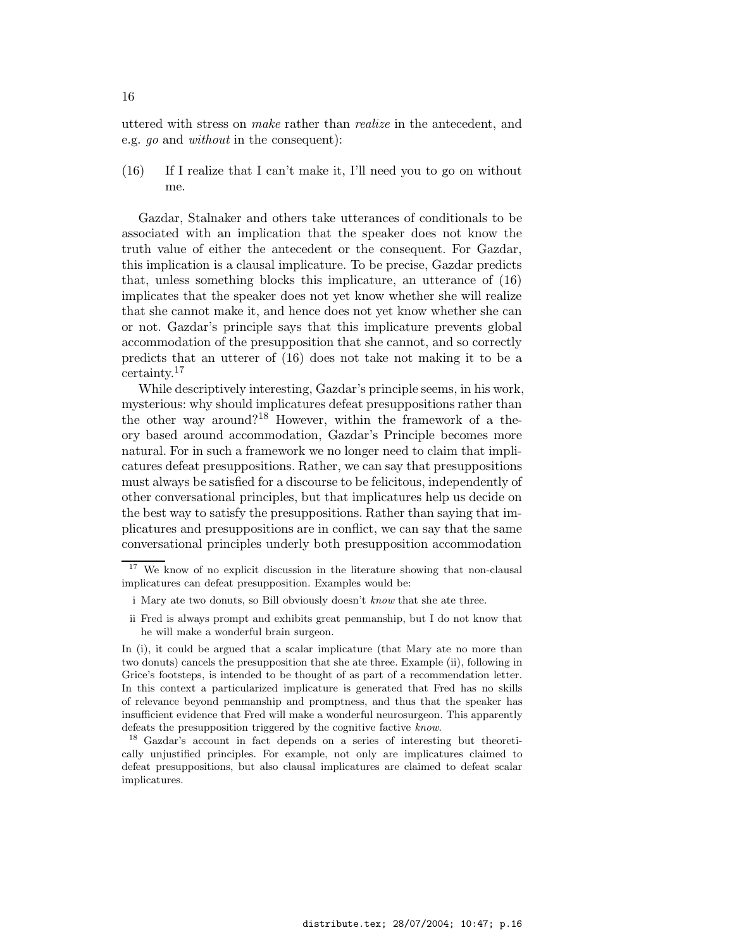uttered with stress on make rather than realize in the antecedent, and e.g. go and without in the consequent):

(16) If I realize that I can't make it, I'll need you to go on without me.

Gazdar, Stalnaker and others take utterances of conditionals to be associated with an implication that the speaker does not know the truth value of either the antecedent or the consequent. For Gazdar, this implication is a clausal implicature. To be precise, Gazdar predicts that, unless something blocks this implicature, an utterance of (16) implicates that the speaker does not yet know whether she will realize that she cannot make it, and hence does not yet know whether she can or not. Gazdar's principle says that this implicature prevents global accommodation of the presupposition that she cannot, and so correctly predicts that an utterer of (16) does not take not making it to be a certainty.<sup>17</sup>

While descriptively interesting, Gazdar's principle seems, in his work, mysterious: why should implicatures defeat presuppositions rather than the other way around?<sup>18</sup> However, within the framework of a theory based around accommodation, Gazdar's Principle becomes more natural. For in such a framework we no longer need to claim that implicatures defeat presuppositions. Rather, we can say that presuppositions must always be satisfied for a discourse to be felicitous, independently of other conversational principles, but that implicatures help us decide on the best way to satisfy the presuppositions. Rather than saying that implicatures and presuppositions are in conflict, we can say that the same conversational principles underly both presupposition accommodation

ii Fred is always prompt and exhibits great penmanship, but I do not know that he will make a wonderful brain surgeon.

<sup>&</sup>lt;sup>17</sup> We know of no explicit discussion in the literature showing that non-clausal implicatures can defeat presupposition. Examples would be:

i Mary ate two donuts, so Bill obviously doesn't know that she ate three.

In (i), it could be argued that a scalar implicature (that Mary ate no more than two donuts) cancels the presupposition that she ate three. Example (ii), following in Grice's footsteps, is intended to be thought of as part of a recommendation letter. In this context a particularized implicature is generated that Fred has no skills of relevance beyond penmanship and promptness, and thus that the speaker has insufficient evidence that Fred will make a wonderful neurosurgeon. This apparently defeats the presupposition triggered by the cognitive factive know.

<sup>18</sup> Gazdar's account in fact depends on a series of interesting but theoretically unjustified principles. For example, not only are implicatures claimed to defeat presuppositions, but also clausal implicatures are claimed to defeat scalar implicatures.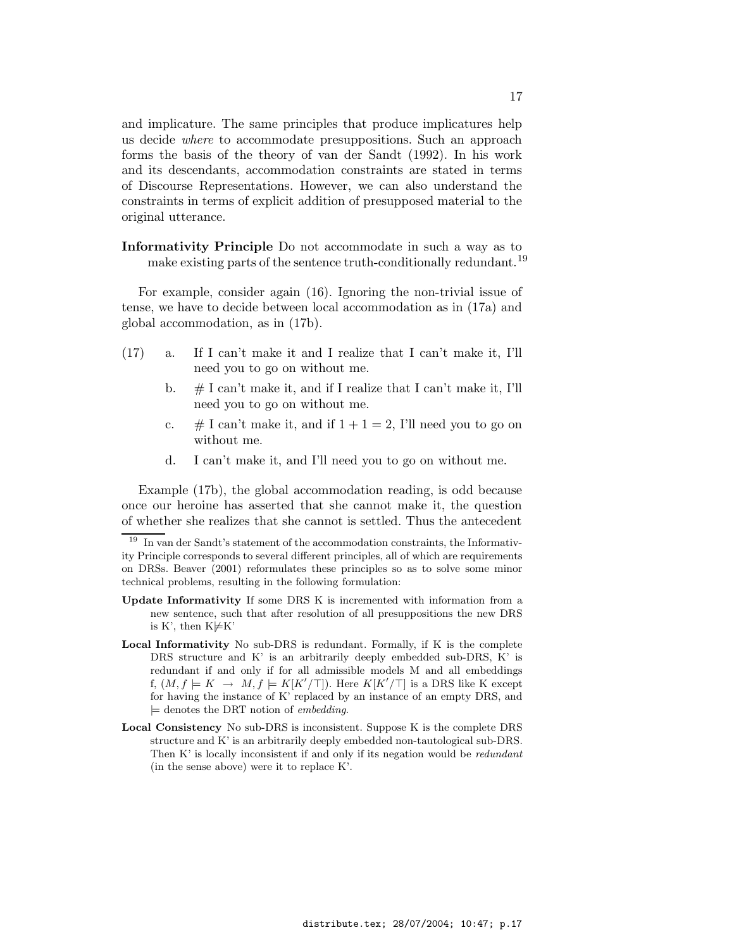and implicature. The same principles that produce implicatures help us decide where to accommodate presuppositions. Such an approach forms the basis of the theory of van der Sandt (1992). In his work and its descendants, accommodation constraints are stated in terms of Discourse Representations. However, we can also understand the constraints in terms of explicit addition of presupposed material to the original utterance.

Informativity Principle Do not accommodate in such a way as to make existing parts of the sentence truth-conditionally redundant.<sup>19</sup>

For example, consider again (16). Ignoring the non-trivial issue of tense, we have to decide between local accommodation as in (17a) and global accommodation, as in (17b).

- (17) a. If I can't make it and I realize that I can't make it, I'll need you to go on without me.
	- b.  $\#$  I can't make it, and if I realize that I can't make it, I'll need you to go on without me.
	- c. # I can't make it, and if  $1 + 1 = 2$ , I'll need you to go on without me.
	- d. I can't make it, and I'll need you to go on without me.

Example (17b), the global accommodation reading, is odd because once our heroine has asserted that she cannot make it, the question of whether she realizes that she cannot is settled. Thus the antecedent

 $^{19}\,$  In van der Sandt's statement of the accommodation constraints, the Informativity Principle corresponds to several different principles, all of which are requirements on DRSs. Beaver (2001) reformulates these principles so as to solve some minor technical problems, resulting in the following formulation:

Update Informativity If some DRS K is incremented with information from a new sentence, such that after resolution of all presuppositions the new DRS is K', then  $K \not\models K'$ 

Local Informativity No sub-DRS is redundant. Formally, if K is the complete DRS structure and K' is an arbitrarily deeply embedded sub-DRS, K' is redundant if and only if for all admissible models M and all embeddings f,  $(M, f \models K \rightarrow M, f \models K[K'/\top])$ . Here  $K[K'/\top]$  is a DRS like K except for having the instance of K' replaced by an instance of an empty DRS, and  $\models$  denotes the DRT notion of *embedding*.

Local Consistency No sub-DRS is inconsistent. Suppose K is the complete DRS structure and K' is an arbitrarily deeply embedded non-tautological sub-DRS. Then K' is locally inconsistent if and only if its negation would be *redundant* (in the sense above) were it to replace K'.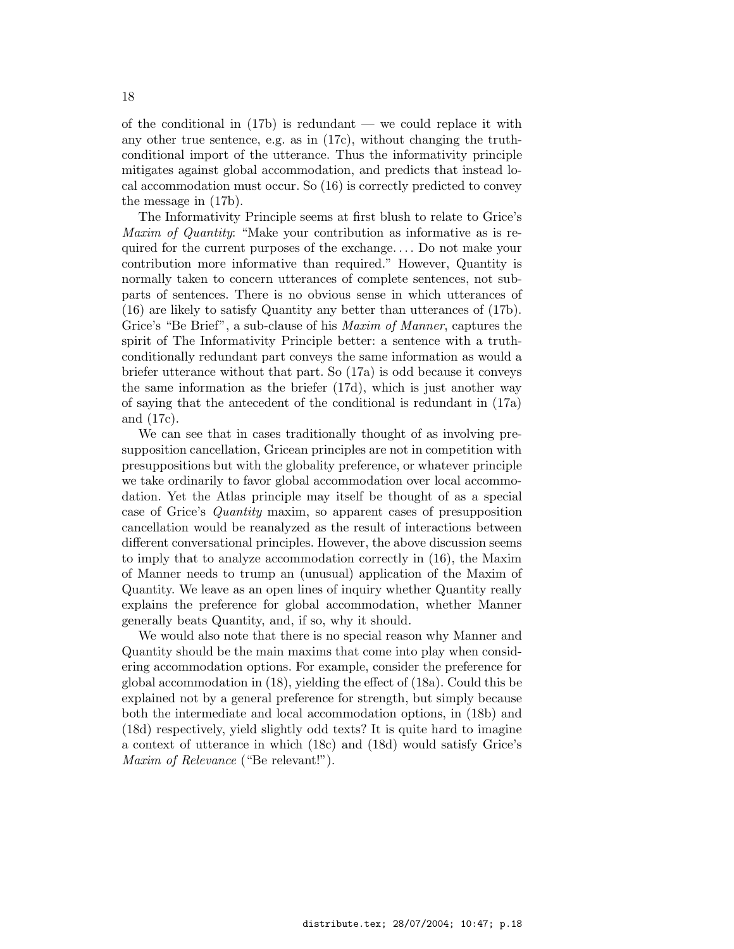of the conditional in  $(17b)$  is redundant — we could replace it with any other true sentence, e.g. as in (17c), without changing the truthconditional import of the utterance. Thus the informativity principle mitigates against global accommodation, and predicts that instead local accommodation must occur. So (16) is correctly predicted to convey the message in (17b).

The Informativity Principle seems at first blush to relate to Grice's Maxim of Quantity: "Make your contribution as informative as is required for the current purposes of the exchange. . . . Do not make your contribution more informative than required." However, Quantity is normally taken to concern utterances of complete sentences, not subparts of sentences. There is no obvious sense in which utterances of (16) are likely to satisfy Quantity any better than utterances of (17b). Grice's "Be Brief", a sub-clause of his *Maxim of Manner*, captures the spirit of The Informativity Principle better: a sentence with a truthconditionally redundant part conveys the same information as would a briefer utterance without that part. So (17a) is odd because it conveys the same information as the briefer (17d), which is just another way of saying that the antecedent of the conditional is redundant in (17a) and (17c).

We can see that in cases traditionally thought of as involving presupposition cancellation, Gricean principles are not in competition with presuppositions but with the globality preference, or whatever principle we take ordinarily to favor global accommodation over local accommodation. Yet the Atlas principle may itself be thought of as a special case of Grice's Quantity maxim, so apparent cases of presupposition cancellation would be reanalyzed as the result of interactions between different conversational principles. However, the above discussion seems to imply that to analyze accommodation correctly in (16), the Maxim of Manner needs to trump an (unusual) application of the Maxim of Quantity. We leave as an open lines of inquiry whether Quantity really explains the preference for global accommodation, whether Manner generally beats Quantity, and, if so, why it should.

We would also note that there is no special reason why Manner and Quantity should be the main maxims that come into play when considering accommodation options. For example, consider the preference for global accommodation in (18), yielding the effect of (18a). Could this be explained not by a general preference for strength, but simply because both the intermediate and local accommodation options, in (18b) and (18d) respectively, yield slightly odd texts? It is quite hard to imagine a context of utterance in which (18c) and (18d) would satisfy Grice's Maxim of Relevance ("Be relevant!").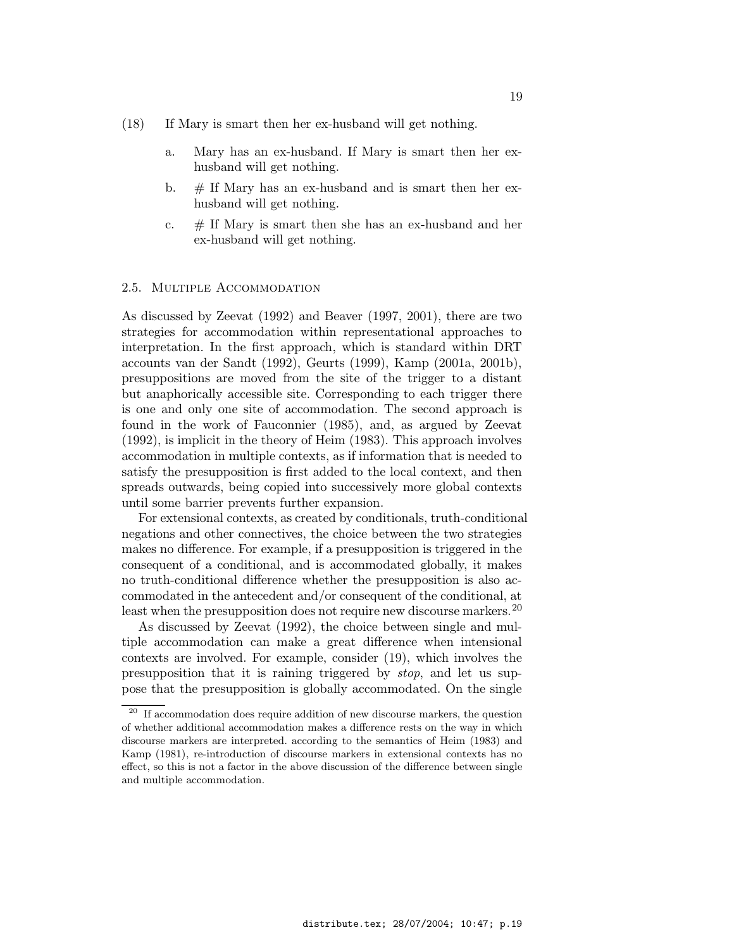- (18) If Mary is smart then her ex-husband will get nothing.
	- a. Mary has an ex-husband. If Mary is smart then her exhusband will get nothing.
	- b.  $\#$  If Mary has an ex-husband and is smart then her exhusband will get nothing.
	- c.  $\#$  If Mary is smart then she has an ex-husband and her ex-husband will get nothing.

### 2.5. Multiple Accommodation

As discussed by Zeevat (1992) and Beaver (1997, 2001), there are two strategies for accommodation within representational approaches to interpretation. In the first approach, which is standard within DRT accounts van der Sandt (1992), Geurts (1999), Kamp (2001a, 2001b), presuppositions are moved from the site of the trigger to a distant but anaphorically accessible site. Corresponding to each trigger there is one and only one site of accommodation. The second approach is found in the work of Fauconnier (1985), and, as argued by Zeevat (1992), is implicit in the theory of Heim (1983). This approach involves accommodation in multiple contexts, as if information that is needed to satisfy the presupposition is first added to the local context, and then spreads outwards, being copied into successively more global contexts until some barrier prevents further expansion.

For extensional contexts, as created by conditionals, truth-conditional negations and other connectives, the choice between the two strategies makes no difference. For example, if a presupposition is triggered in the consequent of a conditional, and is accommodated globally, it makes no truth-conditional difference whether the presupposition is also accommodated in the antecedent and/or consequent of the conditional, at least when the presupposition does not require new discourse markers.  $20$ 

As discussed by Zeevat (1992), the choice between single and multiple accommodation can make a great difference when intensional contexts are involved. For example, consider (19), which involves the presupposition that it is raining triggered by stop, and let us suppose that the presupposition is globally accommodated. On the single

 $^{20}\,$  If accommodation does require addition of new discourse markers, the question of whether additional accommodation makes a difference rests on the way in which discourse markers are interpreted. according to the semantics of Heim (1983) and Kamp (1981), re-introduction of discourse markers in extensional contexts has no effect, so this is not a factor in the above discussion of the difference between single and multiple accommodation.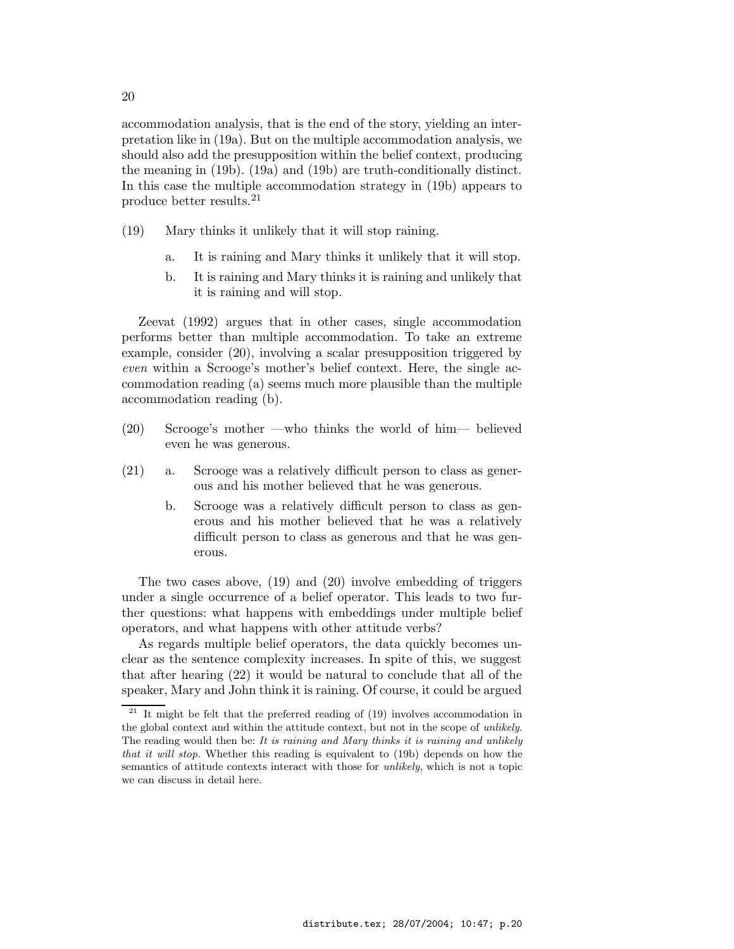accommodation analysis, that is the end of the story, yielding an interpretation like in (19a). But on the multiple accommodation analysis, we should also add the presupposition within the belief context, producing the meaning in (19b). (19a) and (19b) are truth-conditionally distinct. In this case the multiple accommodation strategy in (19b) appears to produce better results.<sup>21</sup>

- (19) Mary thinks it unlikely that it will stop raining.
	- a. It is raining and Mary thinks it unlikely that it will stop.
	- b. It is raining and Mary thinks it is raining and unlikely that it is raining and will stop.

Zeevat (1992) argues that in other cases, single accommodation performs better than multiple accommodation. To take an extreme example, consider (20), involving a scalar presupposition triggered by even within a Scrooge's mother's belief context. Here, the single accommodation reading (a) seems much more plausible than the multiple accommodation reading (b).

- (20) Scrooge's mother —who thinks the world of him— believed even he was generous.
- (21) a. Scrooge was a relatively difficult person to class as generous and his mother believed that he was generous.
	- b. Scrooge was a relatively difficult person to class as generous and his mother believed that he was a relatively difficult person to class as generous and that he was generous.

The two cases above, (19) and (20) involve embedding of triggers under a single occurrence of a belief operator. This leads to two further questions: what happens with embeddings under multiple belief operators, and what happens with other attitude verbs?

As regards multiple belief operators, the data quickly becomes unclear as the sentence complexity increases. In spite of this, we suggest that after hearing (22) it would be natural to conclude that all of the speaker, Mary and John think it is raining. Of course, it could be argued

20

 $21$  It might be felt that the preferred reading of (19) involves accommodation in the global context and within the attitude context, but not in the scope of *unlikely*. The reading would then be: It is raining and Mary thinks it is raining and unlikely that it will stop. Whether this reading is equivalent to (19b) depends on how the semantics of attitude contexts interact with those for *unlikely*, which is not a topic we can discuss in detail here.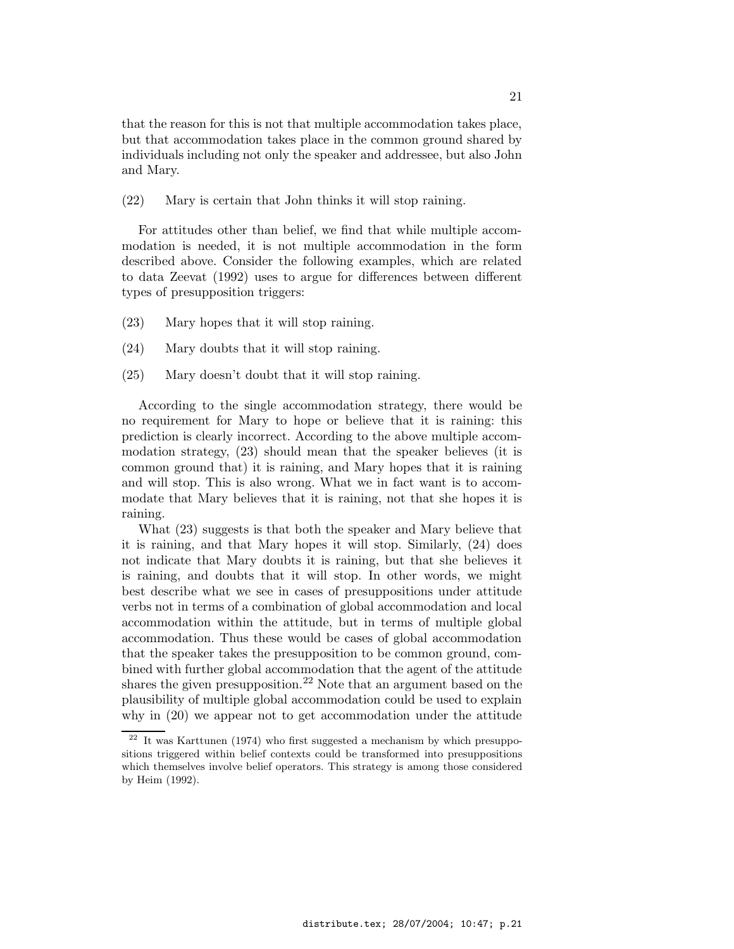that the reason for this is not that multiple accommodation takes place, but that accommodation takes place in the common ground shared by individuals including not only the speaker and addressee, but also John and Mary.

(22) Mary is certain that John thinks it will stop raining.

For attitudes other than belief, we find that while multiple accommodation is needed, it is not multiple accommodation in the form described above. Consider the following examples, which are related to data Zeevat (1992) uses to argue for differences between different types of presupposition triggers:

- (23) Mary hopes that it will stop raining.
- (24) Mary doubts that it will stop raining.
- (25) Mary doesn't doubt that it will stop raining.

According to the single accommodation strategy, there would be no requirement for Mary to hope or believe that it is raining: this prediction is clearly incorrect. According to the above multiple accommodation strategy, (23) should mean that the speaker believes (it is common ground that) it is raining, and Mary hopes that it is raining and will stop. This is also wrong. What we in fact want is to accommodate that Mary believes that it is raining, not that she hopes it is raining.

What (23) suggests is that both the speaker and Mary believe that it is raining, and that Mary hopes it will stop. Similarly, (24) does not indicate that Mary doubts it is raining, but that she believes it is raining, and doubts that it will stop. In other words, we might best describe what we see in cases of presuppositions under attitude verbs not in terms of a combination of global accommodation and local accommodation within the attitude, but in terms of multiple global accommodation. Thus these would be cases of global accommodation that the speaker takes the presupposition to be common ground, combined with further global accommodation that the agent of the attitude shares the given presupposition.<sup>22</sup> Note that an argument based on the plausibility of multiple global accommodation could be used to explain why in (20) we appear not to get accommodation under the attitude

 $\frac{22}{10}$  It was Karttunen (1974) who first suggested a mechanism by which presuppositions triggered within belief contexts could be transformed into presuppositions which themselves involve belief operators. This strategy is among those considered by Heim (1992).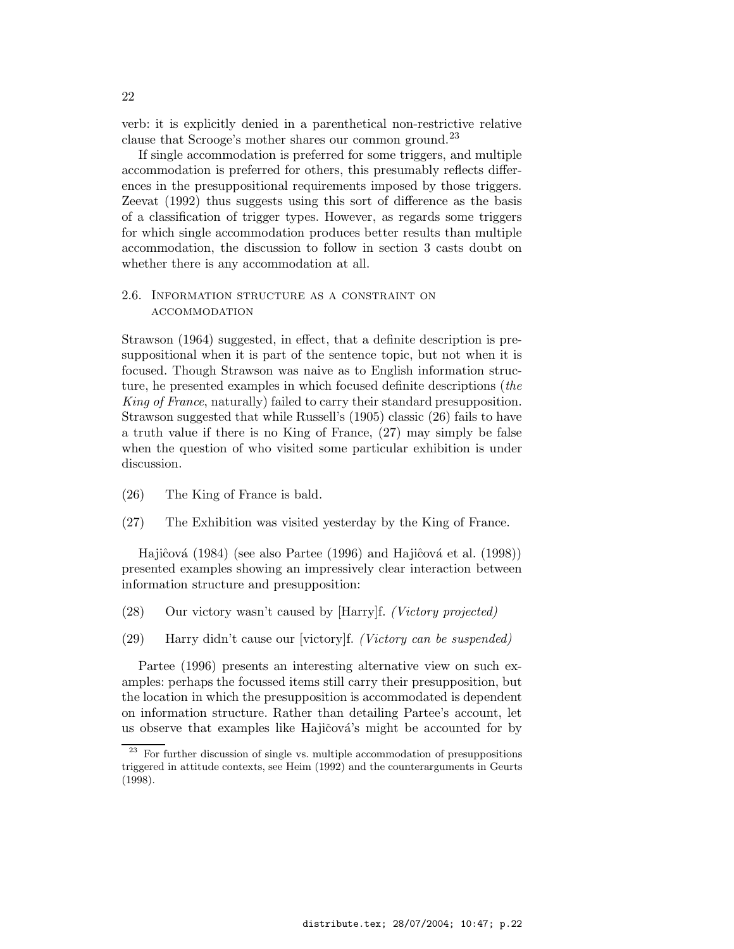verb: it is explicitly denied in a parenthetical non-restrictive relative clause that Scrooge's mother shares our common ground.<sup>23</sup>

If single accommodation is preferred for some triggers, and multiple accommodation is preferred for others, this presumably reflects differences in the presuppositional requirements imposed by those triggers. Zeevat (1992) thus suggests using this sort of difference as the basis of a classification of trigger types. However, as regards some triggers for which single accommodation produces better results than multiple accommodation, the discussion to follow in section 3 casts doubt on whether there is any accommodation at all.

# 2.6. Information structure as a constraint on accommodation

Strawson (1964) suggested, in effect, that a definite description is presuppositional when it is part of the sentence topic, but not when it is focused. Though Strawson was naive as to English information structure, he presented examples in which focused definite descriptions (the King of France, naturally) failed to carry their standard presupposition. Strawson suggested that while Russell's (1905) classic (26) fails to have a truth value if there is no King of France, (27) may simply be false when the question of who visited some particular exhibition is under discussion.

- (26) The King of France is bald.
- (27) The Exhibition was visited yesterday by the King of France.

Hajiĉová (1984) (see also Partee (1996) and Hajiĉová et al. (1998)) presented examples showing an impressively clear interaction between information structure and presupposition:

- (28) Our victory wasn't caused by [Harry]f. (Victory projected)
- (29) Harry didn't cause our [victory]f. (Victory can be suspended)

Partee (1996) presents an interesting alternative view on such examples: perhaps the focussed items still carry their presupposition, but the location in which the presupposition is accommodated is dependent on information structure. Rather than detailing Partee's account, let us observe that examples like Hajičová's might be accounted for by

 $23$  For further discussion of single vs. multiple accommodation of presuppositions triggered in attitude contexts, see Heim (1992) and the counterarguments in Geurts (1998).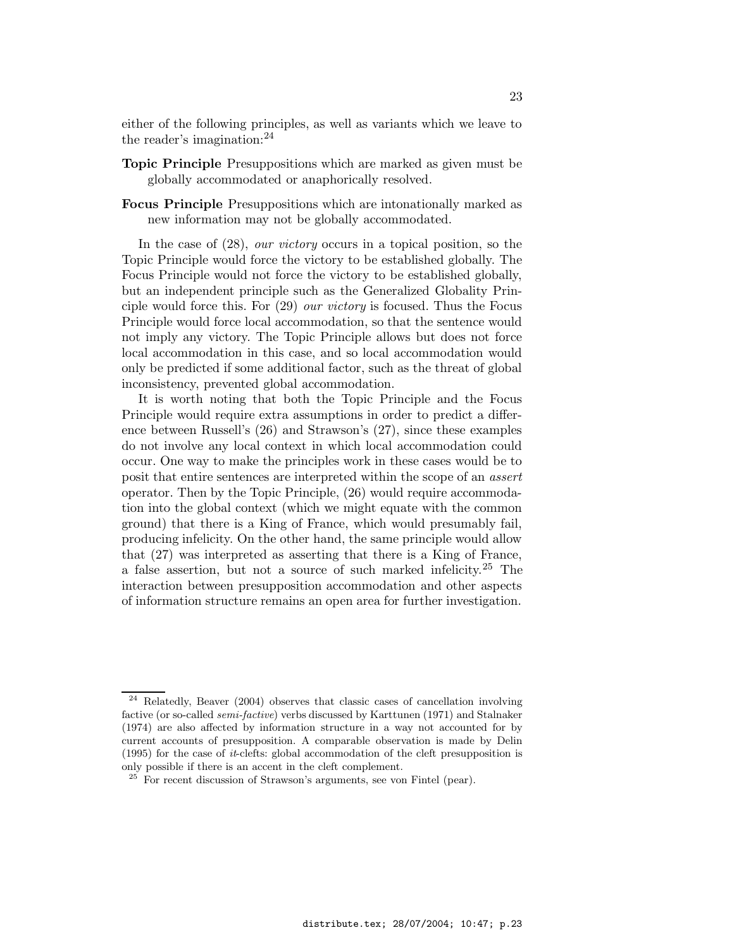either of the following principles, as well as variants which we leave to the reader's imagination: $^{24}$ 

- Topic Principle Presuppositions which are marked as given must be globally accommodated or anaphorically resolved.
- Focus Principle Presuppositions which are intonationally marked as new information may not be globally accommodated.

In the case of  $(28)$ , *our victory* occurs in a topical position, so the Topic Principle would force the victory to be established globally. The Focus Principle would not force the victory to be established globally, but an independent principle such as the Generalized Globality Principle would force this. For (29) our victory is focused. Thus the Focus Principle would force local accommodation, so that the sentence would not imply any victory. The Topic Principle allows but does not force local accommodation in this case, and so local accommodation would only be predicted if some additional factor, such as the threat of global inconsistency, prevented global accommodation.

It is worth noting that both the Topic Principle and the Focus Principle would require extra assumptions in order to predict a difference between Russell's (26) and Strawson's (27), since these examples do not involve any local context in which local accommodation could occur. One way to make the principles work in these cases would be to posit that entire sentences are interpreted within the scope of an assert operator. Then by the Topic Principle, (26) would require accommodation into the global context (which we might equate with the common ground) that there is a King of France, which would presumably fail, producing infelicity. On the other hand, the same principle would allow that (27) was interpreted as asserting that there is a King of France, a false assertion, but not a source of such marked infelicity.<sup>25</sup> The interaction between presupposition accommodation and other aspects of information structure remains an open area for further investigation.

 $24$  Relatedly, Beaver (2004) observes that classic cases of cancellation involving factive (or so-called semi-factive) verbs discussed by Karttunen (1971) and Stalnaker (1974) are also affected by information structure in a way not accounted for by current accounts of presupposition. A comparable observation is made by Delin (1995) for the case of  $it$ -clefts: global accommodation of the cleft presupposition is only possible if there is an accent in the cleft complement.

 $25$  For recent discussion of Strawson's arguments, see von Fintel (pear).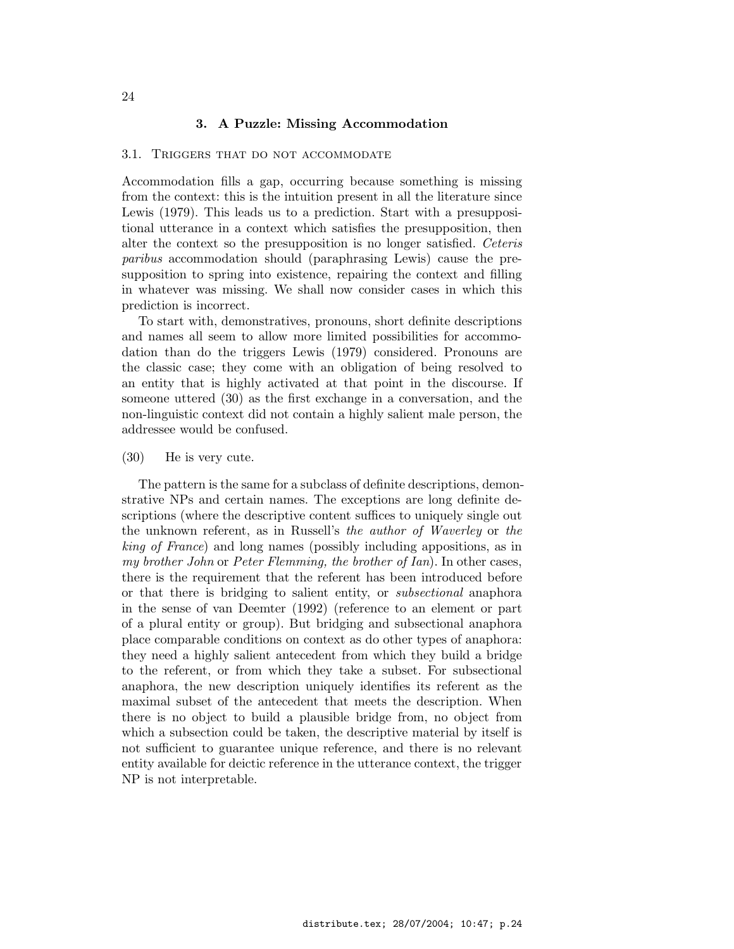### 3. A Puzzle: Missing Accommodation

### 3.1. Triggers that do not accommodate

Accommodation fills a gap, occurring because something is missing from the context: this is the intuition present in all the literature since Lewis (1979). This leads us to a prediction. Start with a presuppositional utterance in a context which satisfies the presupposition, then alter the context so the presupposition is no longer satisfied. Ceteris paribus accommodation should (paraphrasing Lewis) cause the presupposition to spring into existence, repairing the context and filling in whatever was missing. We shall now consider cases in which this prediction is incorrect.

To start with, demonstratives, pronouns, short definite descriptions and names all seem to allow more limited possibilities for accommodation than do the triggers Lewis (1979) considered. Pronouns are the classic case; they come with an obligation of being resolved to an entity that is highly activated at that point in the discourse. If someone uttered (30) as the first exchange in a conversation, and the non-linguistic context did not contain a highly salient male person, the addressee would be confused.

#### (30) He is very cute.

The pattern is the same for a subclass of definite descriptions, demonstrative NPs and certain names. The exceptions are long definite descriptions (where the descriptive content suffices to uniquely single out the unknown referent, as in Russell's the author of Waverley or the king of France) and long names (possibly including appositions, as in my brother John or Peter Flemming, the brother of Ian). In other cases, there is the requirement that the referent has been introduced before or that there is bridging to salient entity, or subsectional anaphora in the sense of van Deemter (1992) (reference to an element or part of a plural entity or group). But bridging and subsectional anaphora place comparable conditions on context as do other types of anaphora: they need a highly salient antecedent from which they build a bridge to the referent, or from which they take a subset. For subsectional anaphora, the new description uniquely identifies its referent as the maximal subset of the antecedent that meets the description. When there is no object to build a plausible bridge from, no object from which a subsection could be taken, the descriptive material by itself is not sufficient to guarantee unique reference, and there is no relevant entity available for deictic reference in the utterance context, the trigger NP is not interpretable.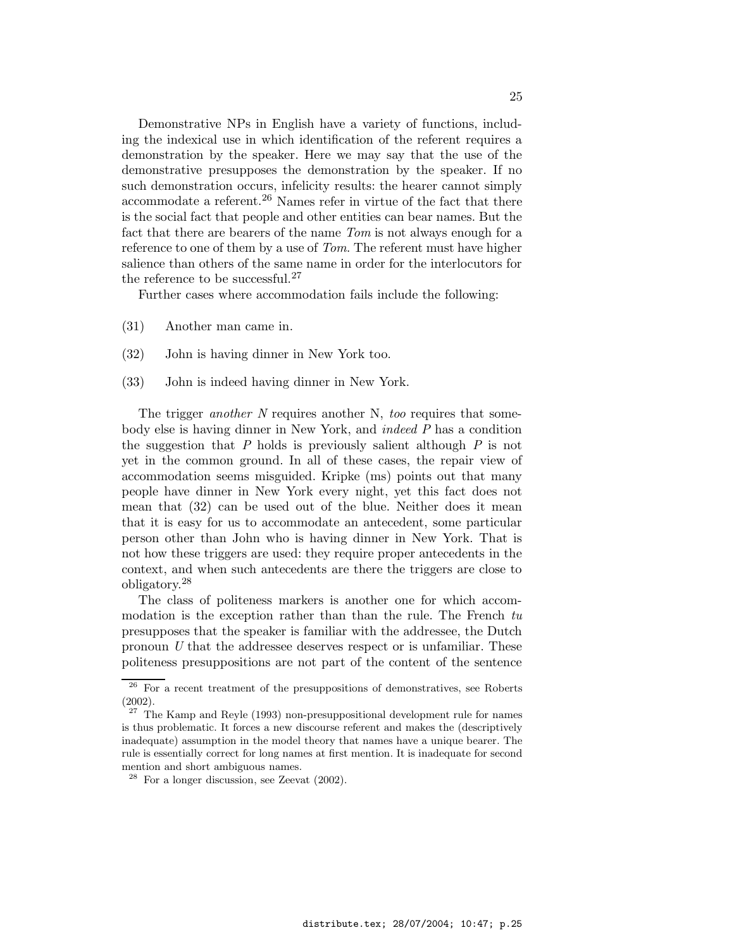Demonstrative NPs in English have a variety of functions, including the indexical use in which identification of the referent requires a demonstration by the speaker. Here we may say that the use of the demonstrative presupposes the demonstration by the speaker. If no such demonstration occurs, infelicity results: the hearer cannot simply accommodate a referent.<sup>26</sup> Names refer in virtue of the fact that there is the social fact that people and other entities can bear names. But the fact that there are bearers of the name Tom is not always enough for a reference to one of them by a use of *Tom*. The referent must have higher salience than others of the same name in order for the interlocutors for the reference to be successful.<sup>27</sup>

Further cases where accommodation fails include the following:

- (31) Another man came in.
- (32) John is having dinner in New York too.
- (33) John is indeed having dinner in New York.

The trigger *another* N requires another N, *too* requires that somebody else is having dinner in New York, and indeed P has a condition the suggestion that P holds is previously salient although  $P$  is not yet in the common ground. In all of these cases, the repair view of accommodation seems misguided. Kripke (ms) points out that many people have dinner in New York every night, yet this fact does not mean that (32) can be used out of the blue. Neither does it mean that it is easy for us to accommodate an antecedent, some particular person other than John who is having dinner in New York. That is not how these triggers are used: they require proper antecedents in the context, and when such antecedents are there the triggers are close to obligatory. 28

The class of politeness markers is another one for which accommodation is the exception rather than than the rule. The French tu presupposes that the speaker is familiar with the addressee, the Dutch pronoun U that the addressee deserves respect or is unfamiliar. These politeness presuppositions are not part of the content of the sentence

 $26$  For a recent treatment of the presuppositions of demonstratives, see Roberts (2002).

 $27$  The Kamp and Reyle (1993) non-presuppositional development rule for names is thus problematic. It forces a new discourse referent and makes the (descriptively inadequate) assumption in the model theory that names have a unique bearer. The rule is essentially correct for long names at first mention. It is inadequate for second mention and short ambiguous names.

 $28$  For a longer discussion, see Zeevat (2002).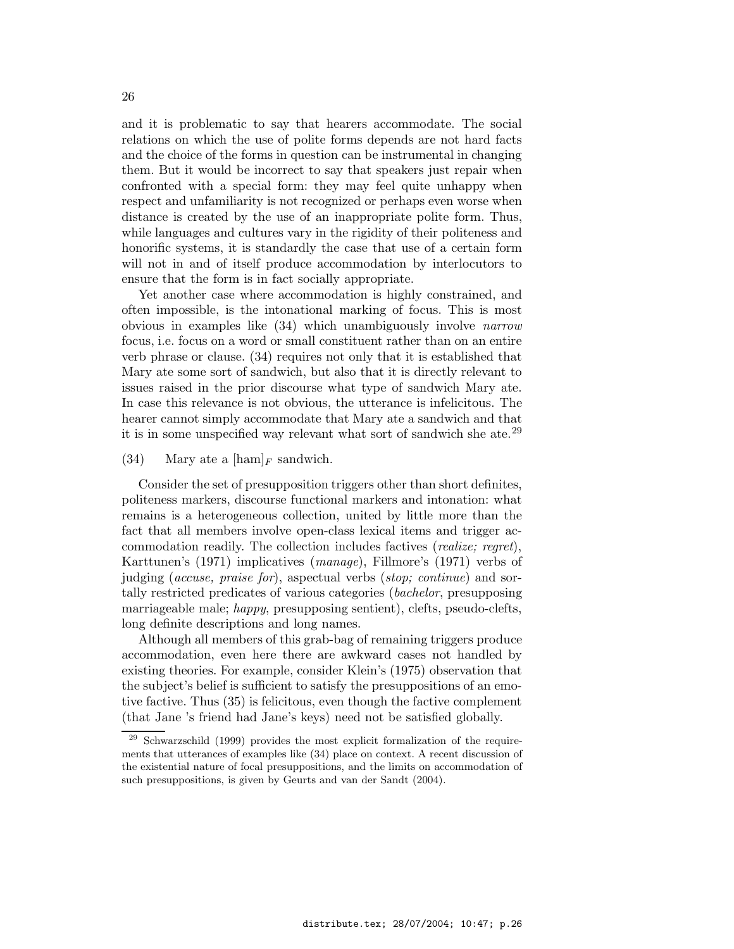and it is problematic to say that hearers accommodate. The social relations on which the use of polite forms depends are not hard facts and the choice of the forms in question can be instrumental in changing them. But it would be incorrect to say that speakers just repair when confronted with a special form: they may feel quite unhappy when respect and unfamiliarity is not recognized or perhaps even worse when distance is created by the use of an inappropriate polite form. Thus, while languages and cultures vary in the rigidity of their politeness and honorific systems, it is standardly the case that use of a certain form will not in and of itself produce accommodation by interlocutors to ensure that the form is in fact socially appropriate.

Yet another case where accommodation is highly constrained, and often impossible, is the intonational marking of focus. This is most obvious in examples like (34) which unambiguously involve narrow focus, i.e. focus on a word or small constituent rather than on an entire verb phrase or clause. (34) requires not only that it is established that Mary ate some sort of sandwich, but also that it is directly relevant to issues raised in the prior discourse what type of sandwich Mary ate. In case this relevance is not obvious, the utterance is infelicitous. The hearer cannot simply accommodate that Mary ate a sandwich and that it is in some unspecified way relevant what sort of sandwich she ate.<sup>29</sup>

(34) Mary ate a  $[\text{ham}]_F$  sandwich.

Consider the set of presupposition triggers other than short definites, politeness markers, discourse functional markers and intonation: what remains is a heterogeneous collection, united by little more than the fact that all members involve open-class lexical items and trigger accommodation readily. The collection includes factives (realize; regret), Karttunen's (1971) implicatives (manage), Fillmore's (1971) verbs of judging (accuse, praise for), aspectual verbs (stop; continue) and sortally restricted predicates of various categories (bachelor, presupposing marriageable male; happy, presupposing sentient), clefts, pseudo-clefts, long definite descriptions and long names.

Although all members of this grab-bag of remaining triggers produce accommodation, even here there are awkward cases not handled by existing theories. For example, consider Klein's (1975) observation that the subject's belief is sufficient to satisfy the presuppositions of an emotive factive. Thus (35) is felicitous, even though the factive complement (that Jane 's friend had Jane's keys) need not be satisfied globally.

 $\frac{29}{28}$  Schwarzschild (1999) provides the most explicit formalization of the requirements that utterances of examples like (34) place on context. A recent discussion of the existential nature of focal presuppositions, and the limits on accommodation of such presuppositions, is given by Geurts and van der Sandt (2004).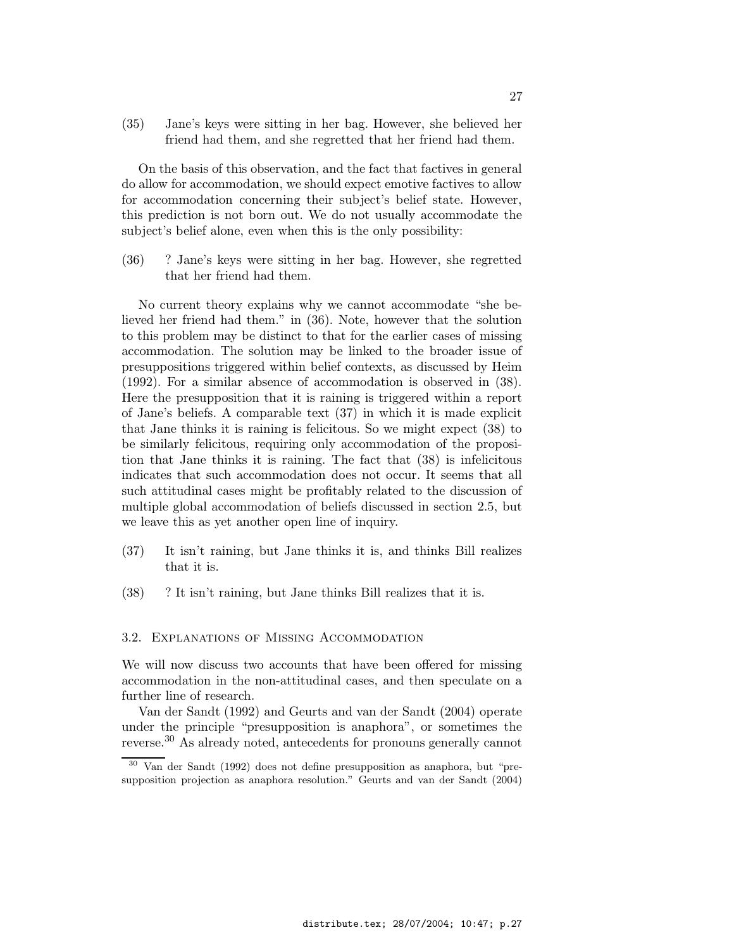(35) Jane's keys were sitting in her bag. However, she believed her friend had them, and she regretted that her friend had them.

On the basis of this observation, and the fact that factives in general do allow for accommodation, we should expect emotive factives to allow for accommodation concerning their subject's belief state. However, this prediction is not born out. We do not usually accommodate the subject's belief alone, even when this is the only possibility:

(36) ? Jane's keys were sitting in her bag. However, she regretted that her friend had them.

No current theory explains why we cannot accommodate "she believed her friend had them." in (36). Note, however that the solution to this problem may be distinct to that for the earlier cases of missing accommodation. The solution may be linked to the broader issue of presuppositions triggered within belief contexts, as discussed by Heim (1992). For a similar absence of accommodation is observed in (38). Here the presupposition that it is raining is triggered within a report of Jane's beliefs. A comparable text (37) in which it is made explicit that Jane thinks it is raining is felicitous. So we might expect (38) to be similarly felicitous, requiring only accommodation of the proposition that Jane thinks it is raining. The fact that (38) is infelicitous indicates that such accommodation does not occur. It seems that all such attitudinal cases might be profitably related to the discussion of multiple global accommodation of beliefs discussed in section 2.5, but we leave this as yet another open line of inquiry.

- (37) It isn't raining, but Jane thinks it is, and thinks Bill realizes that it is.
- (38) ? It isn't raining, but Jane thinks Bill realizes that it is.

#### 3.2. Explanations of Missing Accommodation

We will now discuss two accounts that have been offered for missing accommodation in the non-attitudinal cases, and then speculate on a further line of research.

Van der Sandt (1992) and Geurts and van der Sandt (2004) operate under the principle "presupposition is anaphora", or sometimes the reverse.<sup>30</sup> As already noted, antecedents for pronouns generally cannot

<sup>30</sup> Van der Sandt (1992) does not define presupposition as anaphora, but "presupposition projection as anaphora resolution." Geurts and van der Sandt (2004)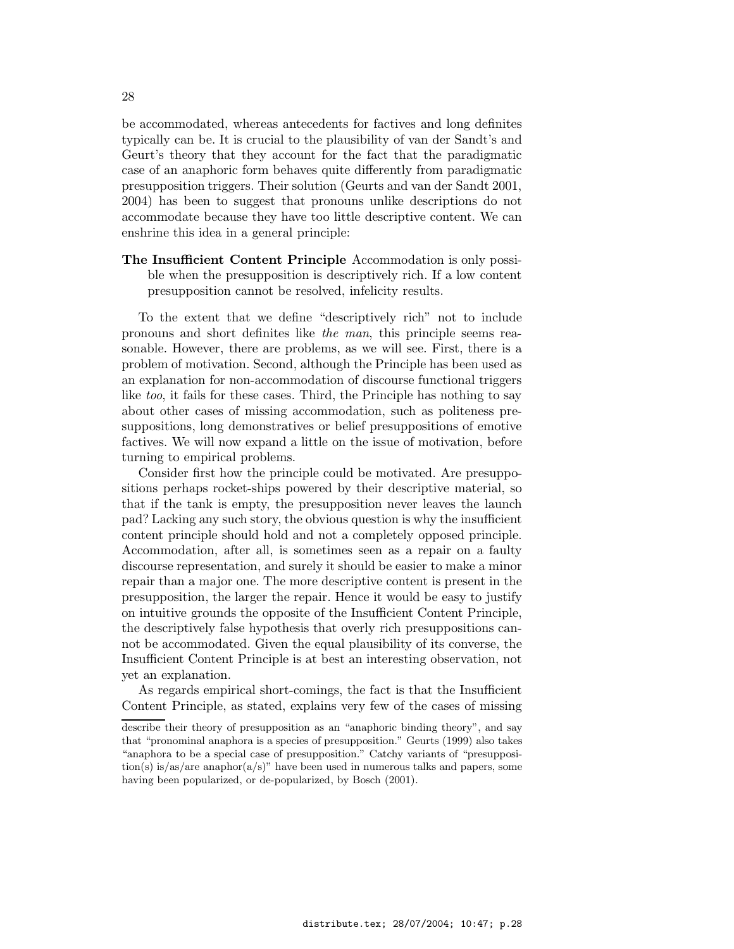be accommodated, whereas antecedents for factives and long definites typically can be. It is crucial to the plausibility of van der Sandt's and Geurt's theory that they account for the fact that the paradigmatic case of an anaphoric form behaves quite differently from paradigmatic presupposition triggers. Their solution (Geurts and van der Sandt 2001, 2004) has been to suggest that pronouns unlike descriptions do not accommodate because they have too little descriptive content. We can enshrine this idea in a general principle:

The Insufficient Content Principle Accommodation is only possible when the presupposition is descriptively rich. If a low content presupposition cannot be resolved, infelicity results.

To the extent that we define "descriptively rich" not to include pronouns and short definites like the man, this principle seems reasonable. However, there are problems, as we will see. First, there is a problem of motivation. Second, although the Principle has been used as an explanation for non-accommodation of discourse functional triggers like too, it fails for these cases. Third, the Principle has nothing to say about other cases of missing accommodation, such as politeness presuppositions, long demonstratives or belief presuppositions of emotive factives. We will now expand a little on the issue of motivation, before turning to empirical problems.

Consider first how the principle could be motivated. Are presuppositions perhaps rocket-ships powered by their descriptive material, so that if the tank is empty, the presupposition never leaves the launch pad? Lacking any such story, the obvious question is why the insufficient content principle should hold and not a completely opposed principle. Accommodation, after all, is sometimes seen as a repair on a faulty discourse representation, and surely it should be easier to make a minor repair than a major one. The more descriptive content is present in the presupposition, the larger the repair. Hence it would be easy to justify on intuitive grounds the opposite of the Insufficient Content Principle, the descriptively false hypothesis that overly rich presuppositions cannot be accommodated. Given the equal plausibility of its converse, the Insufficient Content Principle is at best an interesting observation, not yet an explanation.

As regards empirical short-comings, the fact is that the Insufficient Content Principle, as stated, explains very few of the cases of missing

describe their theory of presupposition as an "anaphoric binding theory", and say that "pronominal anaphora is a species of presupposition." Geurts (1999) also takes "anaphora to be a special case of presupposition." Catchy variants of "presupposition(s) is/as/are anaphor(a/s)" have been used in numerous talks and papers, some having been popularized, or de-popularized, by Bosch (2001).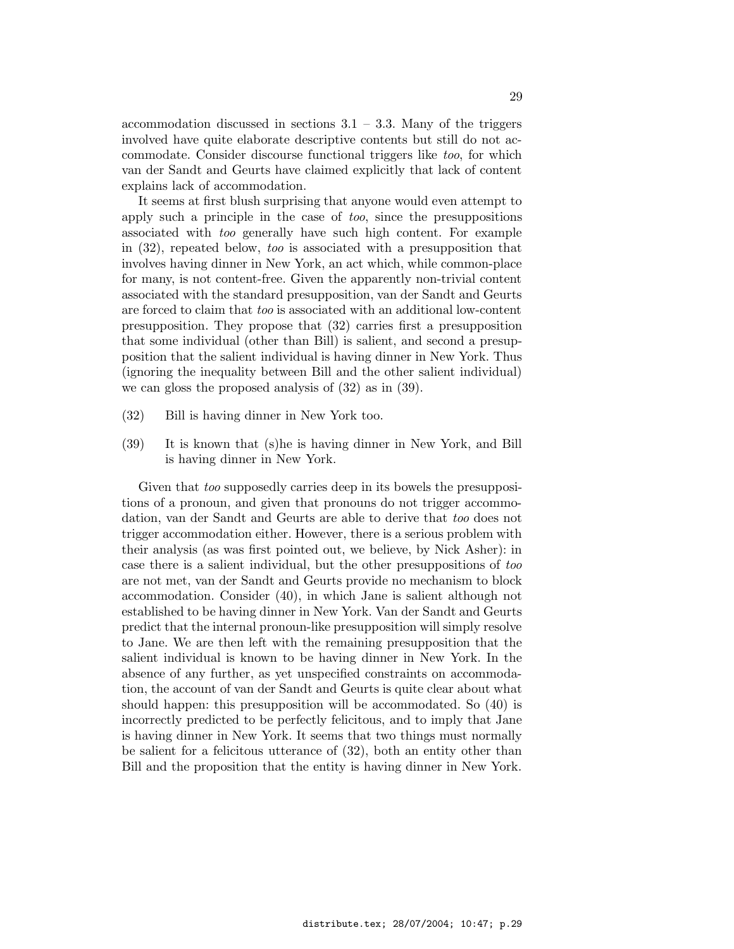accommodation discussed in sections  $3.1 - 3.3$ . Many of the triggers involved have quite elaborate descriptive contents but still do not accommodate. Consider discourse functional triggers like too, for which van der Sandt and Geurts have claimed explicitly that lack of content explains lack of accommodation.

It seems at first blush surprising that anyone would even attempt to apply such a principle in the case of *too*, since the presuppositions associated with too generally have such high content. For example in (32), repeated below, too is associated with a presupposition that involves having dinner in New York, an act which, while common-place for many, is not content-free. Given the apparently non-trivial content associated with the standard presupposition, van der Sandt and Geurts are forced to claim that too is associated with an additional low-content presupposition. They propose that (32) carries first a presupposition that some individual (other than Bill) is salient, and second a presupposition that the salient individual is having dinner in New York. Thus (ignoring the inequality between Bill and the other salient individual) we can gloss the proposed analysis of (32) as in (39).

- (32) Bill is having dinner in New York too.
- (39) It is known that (s)he is having dinner in New York, and Bill is having dinner in New York.

Given that *too* supposedly carries deep in its bowels the presuppositions of a pronoun, and given that pronouns do not trigger accommodation, van der Sandt and Geurts are able to derive that too does not trigger accommodation either. However, there is a serious problem with their analysis (as was first pointed out, we believe, by Nick Asher): in case there is a salient individual, but the other presuppositions of too are not met, van der Sandt and Geurts provide no mechanism to block accommodation. Consider (40), in which Jane is salient although not established to be having dinner in New York. Van der Sandt and Geurts predict that the internal pronoun-like presupposition will simply resolve to Jane. We are then left with the remaining presupposition that the salient individual is known to be having dinner in New York. In the absence of any further, as yet unspecified constraints on accommodation, the account of van der Sandt and Geurts is quite clear about what should happen: this presupposition will be accommodated. So (40) is incorrectly predicted to be perfectly felicitous, and to imply that Jane is having dinner in New York. It seems that two things must normally be salient for a felicitous utterance of (32), both an entity other than Bill and the proposition that the entity is having dinner in New York.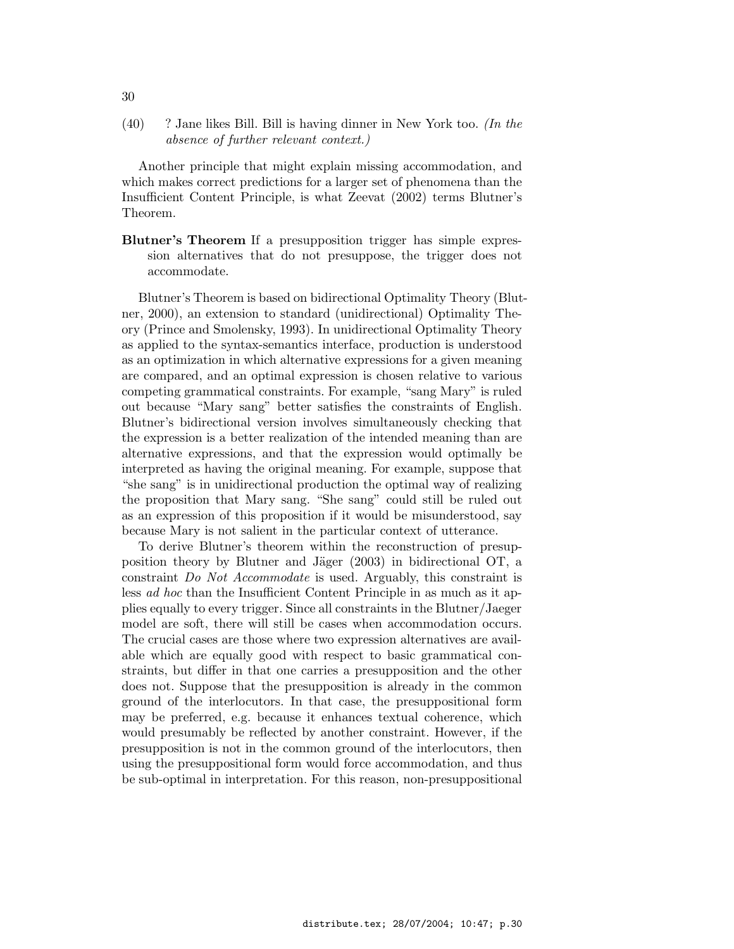$(40)$  ? Jane likes Bill. Bill is having dinner in New York too. (In the absence of further relevant context.)

Another principle that might explain missing accommodation, and which makes correct predictions for a larger set of phenomena than the Insufficient Content Principle, is what Zeevat (2002) terms Blutner's Theorem.

Blutner's Theorem If a presupposition trigger has simple expression alternatives that do not presuppose, the trigger does not accommodate.

Blutner's Theorem is based on bidirectional Optimality Theory (Blutner, 2000), an extension to standard (unidirectional) Optimality Theory (Prince and Smolensky, 1993). In unidirectional Optimality Theory as applied to the syntax-semantics interface, production is understood as an optimization in which alternative expressions for a given meaning are compared, and an optimal expression is chosen relative to various competing grammatical constraints. For example, "sang Mary" is ruled out because "Mary sang" better satisfies the constraints of English. Blutner's bidirectional version involves simultaneously checking that the expression is a better realization of the intended meaning than are alternative expressions, and that the expression would optimally be interpreted as having the original meaning. For example, suppose that "she sang" is in unidirectional production the optimal way of realizing the proposition that Mary sang. "She sang" could still be ruled out as an expression of this proposition if it would be misunderstood, say because Mary is not salient in the particular context of utterance.

To derive Blutner's theorem within the reconstruction of presupposition theory by Blutner and Jäger  $(2003)$  in bidirectional OT, a constraint Do Not Accommodate is used. Arguably, this constraint is less ad hoc than the Insufficient Content Principle in as much as it applies equally to every trigger. Since all constraints in the Blutner/Jaeger model are soft, there will still be cases when accommodation occurs. The crucial cases are those where two expression alternatives are available which are equally good with respect to basic grammatical constraints, but differ in that one carries a presupposition and the other does not. Suppose that the presupposition is already in the common ground of the interlocutors. In that case, the presuppositional form may be preferred, e.g. because it enhances textual coherence, which would presumably be reflected by another constraint. However, if the presupposition is not in the common ground of the interlocutors, then using the presuppositional form would force accommodation, and thus be sub-optimal in interpretation. For this reason, non-presuppositional

30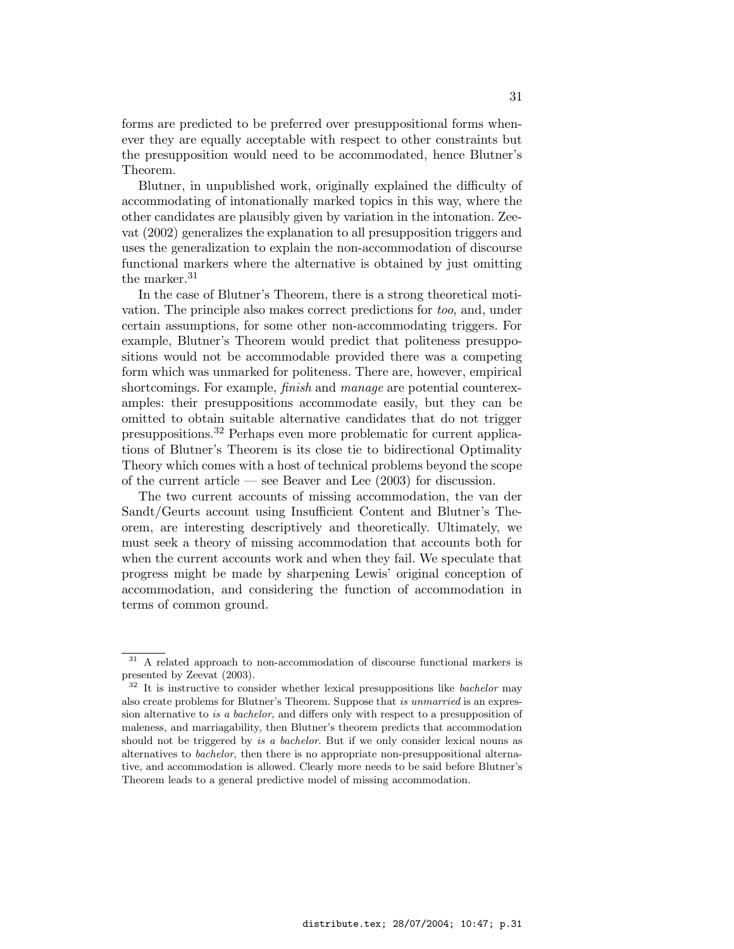forms are predicted to be preferred over presuppositional forms whenever they are equally acceptable with respect to other constraints but the presupposition would need to be accommodated, hence Blutner's Theorem.

Blutner, in unpublished work, originally explained the difficulty of accommodating of intonationally marked topics in this way, where the other candidates are plausibly given by variation in the intonation. Zeevat (2002) generalizes the explanation to all presupposition triggers and uses the generalization to explain the non-accommodation of discourse functional markers where the alternative is obtained by just omitting the marker.<sup>31</sup>

In the case of Blutner's Theorem, there is a strong theoretical motivation. The principle also makes correct predictions for too, and, under certain assumptions, for some other non-accommodating triggers. For example, Blutner's Theorem would predict that politeness presuppositions would not be accommodable provided there was a competing form which was unmarked for politeness. There are, however, empirical shortcomings. For example, *finish* and *manage* are potential counterexamples: their presuppositions accommodate easily, but they can be omitted to obtain suitable alternative candidates that do not trigger presuppositions.<sup>32</sup> Perhaps even more problematic for current applications of Blutner's Theorem is its close tie to bidirectional Optimality Theory which comes with a host of technical problems beyond the scope of the current article — see Beaver and Lee (2003) for discussion.

The two current accounts of missing accommodation, the van der Sandt/Geurts account using Insufficient Content and Blutner's Theorem, are interesting descriptively and theoretically. Ultimately, we must seek a theory of missing accommodation that accounts both for when the current accounts work and when they fail. We speculate that progress might be made by sharpening Lewis' original conception of accommodation, and considering the function of accommodation in terms of common ground.

<sup>&</sup>lt;sup>31</sup> A related approach to non-accommodation of discourse functional markers is presented by Zeevat (2003).

 $32$  It is instructive to consider whether lexical presuppositions like *bachelor* may also create problems for Blutner's Theorem. Suppose that is unmarried is an expression alternative to is a bachelor, and differs only with respect to a presupposition of maleness, and marriagability, then Blutner's theorem predicts that accommodation should not be triggered by is a bachelor. But if we only consider lexical nouns as alternatives to bachelor, then there is no appropriate non-presuppositional alternative, and accommodation is allowed. Clearly more needs to be said before Blutner's Theorem leads to a general predictive model of missing accommodation.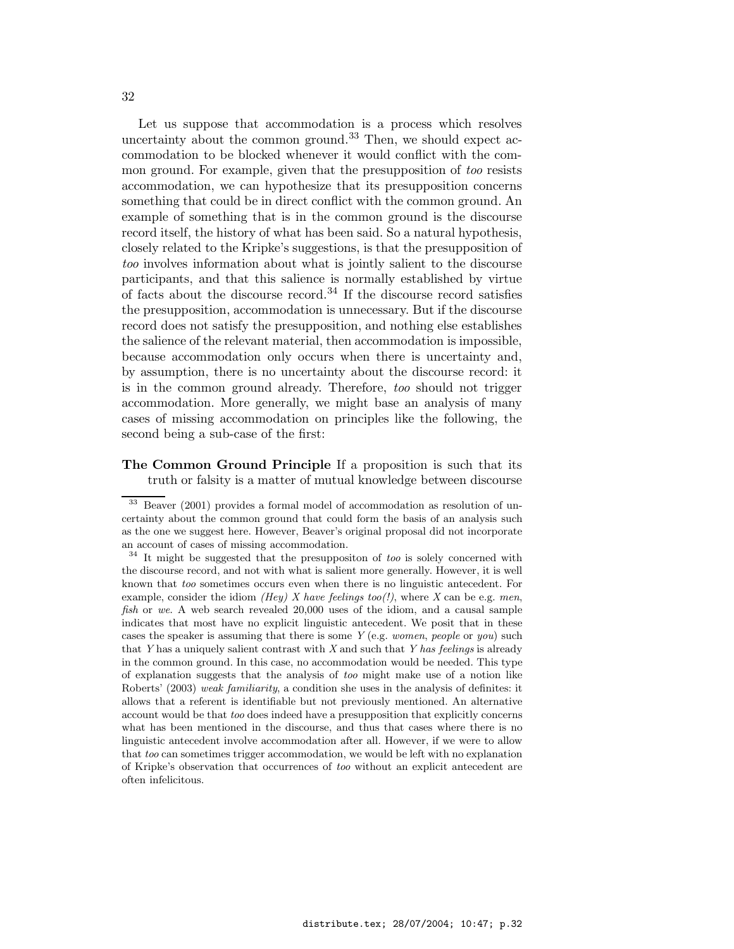Let us suppose that accommodation is a process which resolves uncertainty about the common ground.<sup>33</sup> Then, we should expect accommodation to be blocked whenever it would conflict with the common ground. For example, given that the presupposition of too resists accommodation, we can hypothesize that its presupposition concerns something that could be in direct conflict with the common ground. An example of something that is in the common ground is the discourse record itself, the history of what has been said. So a natural hypothesis, closely related to the Kripke's suggestions, is that the presupposition of too involves information about what is jointly salient to the discourse participants, and that this salience is normally established by virtue of facts about the discourse record.<sup>34</sup> If the discourse record satisfies the presupposition, accommodation is unnecessary. But if the discourse record does not satisfy the presupposition, and nothing else establishes the salience of the relevant material, then accommodation is impossible, because accommodation only occurs when there is uncertainty and, by assumption, there is no uncertainty about the discourse record: it is in the common ground already. Therefore, too should not trigger accommodation. More generally, we might base an analysis of many cases of missing accommodation on principles like the following, the second being a sub-case of the first:

# The Common Ground Principle If a proposition is such that its truth or falsity is a matter of mutual knowledge between discourse

<sup>33</sup> Beaver (2001) provides a formal model of accommodation as resolution of uncertainty about the common ground that could form the basis of an analysis such as the one we suggest here. However, Beaver's original proposal did not incorporate an account of cases of missing accommodation.

 $34$  It might be suggested that the presuppositon of too is solely concerned with the discourse record, and not with what is salient more generally. However, it is well known that too sometimes occurs even when there is no linguistic antecedent. For example, consider the idiom *(Hey) X have feelings too(!)*, where X can be e.g. men, fish or we. A web search revealed 20,000 uses of the idiom, and a causal sample indicates that most have no explicit linguistic antecedent. We posit that in these cases the speaker is assuming that there is some  $Y$  (e.g. *women, people* or *you*) such that Y has a uniquely salient contrast with X and such that Y has feelings is already in the common ground. In this case, no accommodation would be needed. This type of explanation suggests that the analysis of too might make use of a notion like Roberts' (2003) weak familiarity, a condition she uses in the analysis of definites: it allows that a referent is identifiable but not previously mentioned. An alternative account would be that too does indeed have a presupposition that explicitly concerns what has been mentioned in the discourse, and thus that cases where there is no linguistic antecedent involve accommodation after all. However, if we were to allow that too can sometimes trigger accommodation, we would be left with no explanation of Kripke's observation that occurrences of too without an explicit antecedent are often infelicitous.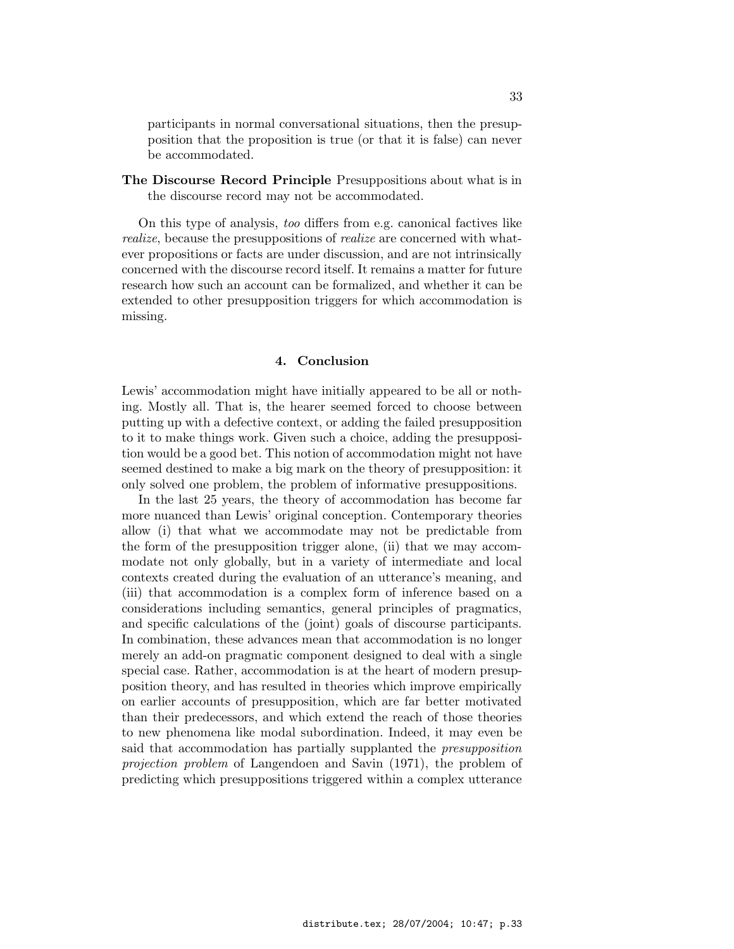participants in normal conversational situations, then the presupposition that the proposition is true (or that it is false) can never be accommodated.

The Discourse Record Principle Presuppositions about what is in the discourse record may not be accommodated.

On this type of analysis, too differs from e.g. canonical factives like realize, because the presuppositions of *realize* are concerned with whatever propositions or facts are under discussion, and are not intrinsically concerned with the discourse record itself. It remains a matter for future research how such an account can be formalized, and whether it can be extended to other presupposition triggers for which accommodation is missing.

#### 4. Conclusion

Lewis' accommodation might have initially appeared to be all or nothing. Mostly all. That is, the hearer seemed forced to choose between putting up with a defective context, or adding the failed presupposition to it to make things work. Given such a choice, adding the presupposition would be a good bet. This notion of accommodation might not have seemed destined to make a big mark on the theory of presupposition: it only solved one problem, the problem of informative presuppositions.

In the last 25 years, the theory of accommodation has become far more nuanced than Lewis' original conception. Contemporary theories allow (i) that what we accommodate may not be predictable from the form of the presupposition trigger alone, (ii) that we may accommodate not only globally, but in a variety of intermediate and local contexts created during the evaluation of an utterance's meaning, and (iii) that accommodation is a complex form of inference based on a considerations including semantics, general principles of pragmatics, and specific calculations of the (joint) goals of discourse participants. In combination, these advances mean that accommodation is no longer merely an add-on pragmatic component designed to deal with a single special case. Rather, accommodation is at the heart of modern presupposition theory, and has resulted in theories which improve empirically on earlier accounts of presupposition, which are far better motivated than their predecessors, and which extend the reach of those theories to new phenomena like modal subordination. Indeed, it may even be said that accommodation has partially supplanted the presupposition projection problem of Langendoen and Savin (1971), the problem of predicting which presuppositions triggered within a complex utterance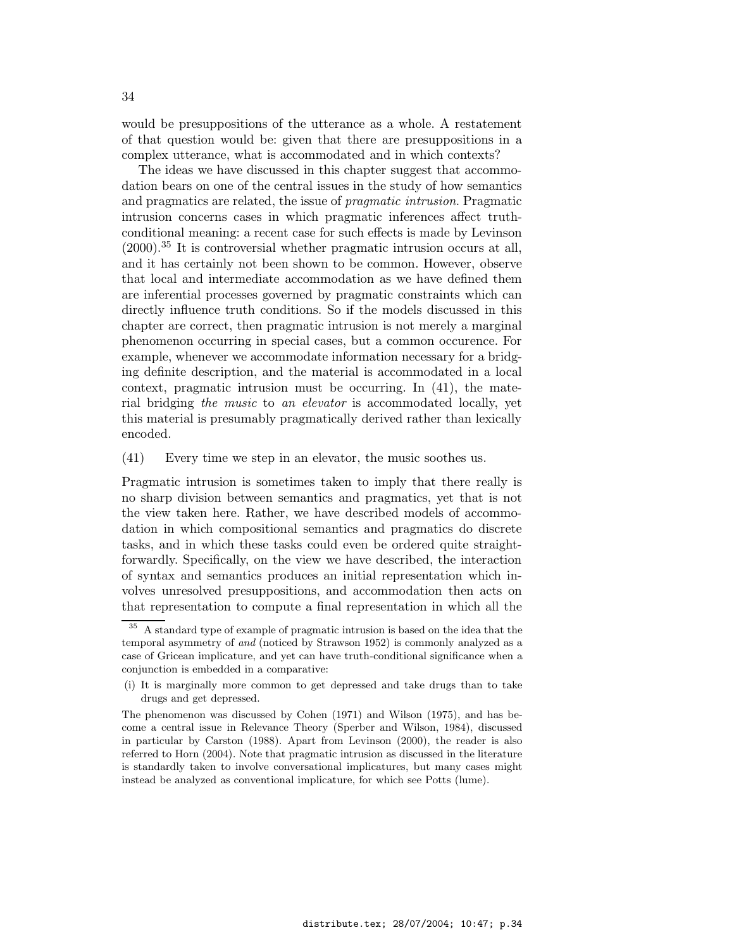would be presuppositions of the utterance as a whole. A restatement of that question would be: given that there are presuppositions in a complex utterance, what is accommodated and in which contexts?

The ideas we have discussed in this chapter suggest that accommodation bears on one of the central issues in the study of how semantics and pragmatics are related, the issue of pragmatic intrusion. Pragmatic intrusion concerns cases in which pragmatic inferences affect truthconditional meaning: a recent case for such effects is made by Levinson  $(2000)$ <sup>35</sup> It is controversial whether pragmatic intrusion occurs at all, and it has certainly not been shown to be common. However, observe that local and intermediate accommodation as we have defined them are inferential processes governed by pragmatic constraints which can directly influence truth conditions. So if the models discussed in this chapter are correct, then pragmatic intrusion is not merely a marginal phenomenon occurring in special cases, but a common occurence. For example, whenever we accommodate information necessary for a bridging definite description, and the material is accommodated in a local context, pragmatic intrusion must be occurring. In (41), the material bridging the music to an elevator is accommodated locally, yet this material is presumably pragmatically derived rather than lexically encoded.

(41) Every time we step in an elevator, the music soothes us.

Pragmatic intrusion is sometimes taken to imply that there really is no sharp division between semantics and pragmatics, yet that is not the view taken here. Rather, we have described models of accommodation in which compositional semantics and pragmatics do discrete tasks, and in which these tasks could even be ordered quite straightforwardly. Specifically, on the view we have described, the interaction of syntax and semantics produces an initial representation which involves unresolved presuppositions, and accommodation then acts on that representation to compute a final representation in which all the

<sup>&</sup>lt;sup>35</sup> A standard type of example of pragmatic intrusion is based on the idea that the temporal asymmetry of and (noticed by Strawson 1952) is commonly analyzed as a case of Gricean implicature, and yet can have truth-conditional significance when a conjunction is embedded in a comparative:

<sup>(</sup>i) It is marginally more common to get depressed and take drugs than to take drugs and get depressed.

The phenomenon was discussed by Cohen (1971) and Wilson (1975), and has become a central issue in Relevance Theory (Sperber and Wilson, 1984), discussed in particular by Carston (1988). Apart from Levinson (2000), the reader is also referred to Horn (2004). Note that pragmatic intrusion as discussed in the literature is standardly taken to involve conversational implicatures, but many cases might instead be analyzed as conventional implicature, for which see Potts (lume).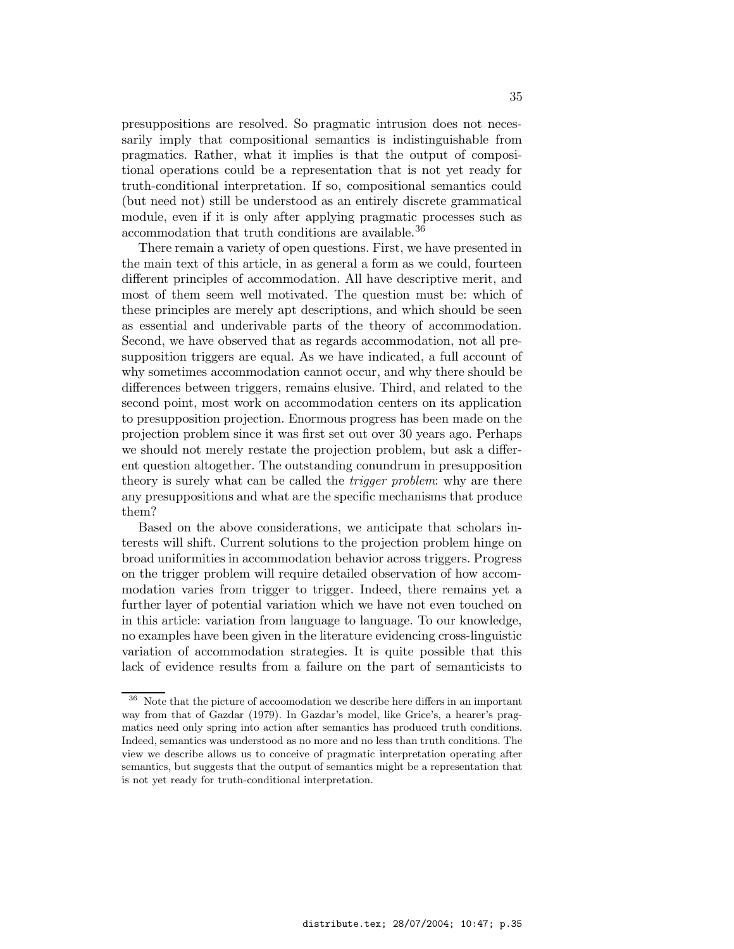presuppositions are resolved. So pragmatic intrusion does not necessarily imply that compositional semantics is indistinguishable from pragmatics. Rather, what it implies is that the output of compositional operations could be a representation that is not yet ready for truth-conditional interpretation. If so, compositional semantics could (but need not) still be understood as an entirely discrete grammatical module, even if it is only after applying pragmatic processes such as accommodation that truth conditions are available.<sup>36</sup>

There remain a variety of open questions. First, we have presented in the main text of this article, in as general a form as we could, fourteen different principles of accommodation. All have descriptive merit, and most of them seem well motivated. The question must be: which of these principles are merely apt descriptions, and which should be seen as essential and underivable parts of the theory of accommodation. Second, we have observed that as regards accommodation, not all presupposition triggers are equal. As we have indicated, a full account of why sometimes accommodation cannot occur, and why there should be differences between triggers, remains elusive. Third, and related to the second point, most work on accommodation centers on its application to presupposition projection. Enormous progress has been made on the projection problem since it was first set out over 30 years ago. Perhaps we should not merely restate the projection problem, but ask a different question altogether. The outstanding conundrum in presupposition theory is surely what can be called the *trigger problem*: why are there any presuppositions and what are the specific mechanisms that produce them?

Based on the above considerations, we anticipate that scholars interests will shift. Current solutions to the projection problem hinge on broad uniformities in accommodation behavior across triggers. Progress on the trigger problem will require detailed observation of how accommodation varies from trigger to trigger. Indeed, there remains yet a further layer of potential variation which we have not even touched on in this article: variation from language to language. To our knowledge, no examples have been given in the literature evidencing cross-linguistic variation of accommodation strategies. It is quite possible that this lack of evidence results from a failure on the part of semanticists to

<sup>36</sup> Note that the picture of accoomodation we describe here differs in an important way from that of Gazdar (1979). In Gazdar's model, like Grice's, a hearer's pragmatics need only spring into action after semantics has produced truth conditions. Indeed, semantics was understood as no more and no less than truth conditions. The view we describe allows us to conceive of pragmatic interpretation operating after semantics, but suggests that the output of semantics might be a representation that is not yet ready for truth-conditional interpretation.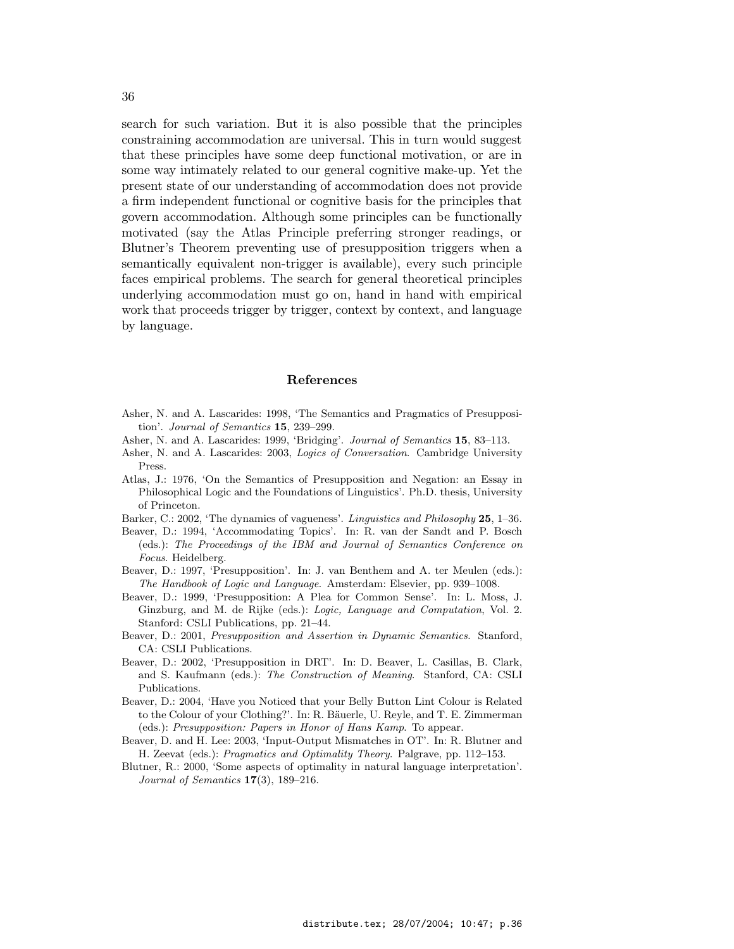search for such variation. But it is also possible that the principles constraining accommodation are universal. This in turn would suggest that these principles have some deep functional motivation, or are in some way intimately related to our general cognitive make-up. Yet the present state of our understanding of accommodation does not provide a firm independent functional or cognitive basis for the principles that govern accommodation. Although some principles can be functionally motivated (say the Atlas Principle preferring stronger readings, or Blutner's Theorem preventing use of presupposition triggers when a semantically equivalent non-trigger is available), every such principle faces empirical problems. The search for general theoretical principles underlying accommodation must go on, hand in hand with empirical work that proceeds trigger by trigger, context by context, and language by language.

#### References

- Asher, N. and A. Lascarides: 1998, 'The Semantics and Pragmatics of Presupposition'. Journal of Semantics 15, 239–299.
- Asher, N. and A. Lascarides: 1999, 'Bridging'. Journal of Semantics 15, 83-113.
- Asher, N. and A. Lascarides: 2003, Logics of Conversation. Cambridge University Press.
- Atlas, J.: 1976, 'On the Semantics of Presupposition and Negation: an Essay in Philosophical Logic and the Foundations of Linguistics'. Ph.D. thesis, University of Princeton.
- Barker, C.: 2002, 'The dynamics of vagueness'. *Linguistics and Philosophy* 25, 1–36.
- Beaver, D.: 1994, 'Accommodating Topics'. In: R. van der Sandt and P. Bosch (eds.): The Proceedings of the IBM and Journal of Semantics Conference on Focus. Heidelberg.
- Beaver, D.: 1997, 'Presupposition'. In: J. van Benthem and A. ter Meulen (eds.): The Handbook of Logic and Language. Amsterdam: Elsevier, pp. 939–1008.
- Beaver, D.: 1999, 'Presupposition: A Plea for Common Sense'. In: L. Moss, J. Ginzburg, and M. de Rijke (eds.): Logic, Language and Computation, Vol. 2. Stanford: CSLI Publications, pp. 21–44.
- Beaver, D.: 2001, Presupposition and Assertion in Dynamic Semantics. Stanford, CA: CSLI Publications.
- Beaver, D.: 2002, 'Presupposition in DRT'. In: D. Beaver, L. Casillas, B. Clark, and S. Kaufmann (eds.): The Construction of Meaning. Stanford, CA: CSLI Publications.
- Beaver, D.: 2004, 'Have you Noticed that your Belly Button Lint Colour is Related to the Colour of your Clothing?'. In: R. Bäuerle, U. Reyle, and T. E. Zimmerman (eds.): Presupposition: Papers in Honor of Hans Kamp. To appear.
- Beaver, D. and H. Lee: 2003, 'Input-Output Mismatches in OT'. In: R. Blutner and H. Zeevat (eds.): Pragmatics and Optimality Theory. Palgrave, pp. 112–153.
- Blutner, R.: 2000, 'Some aspects of optimality in natural language interpretation'. Journal of Semantics  $17(3)$ ,  $189-216$ .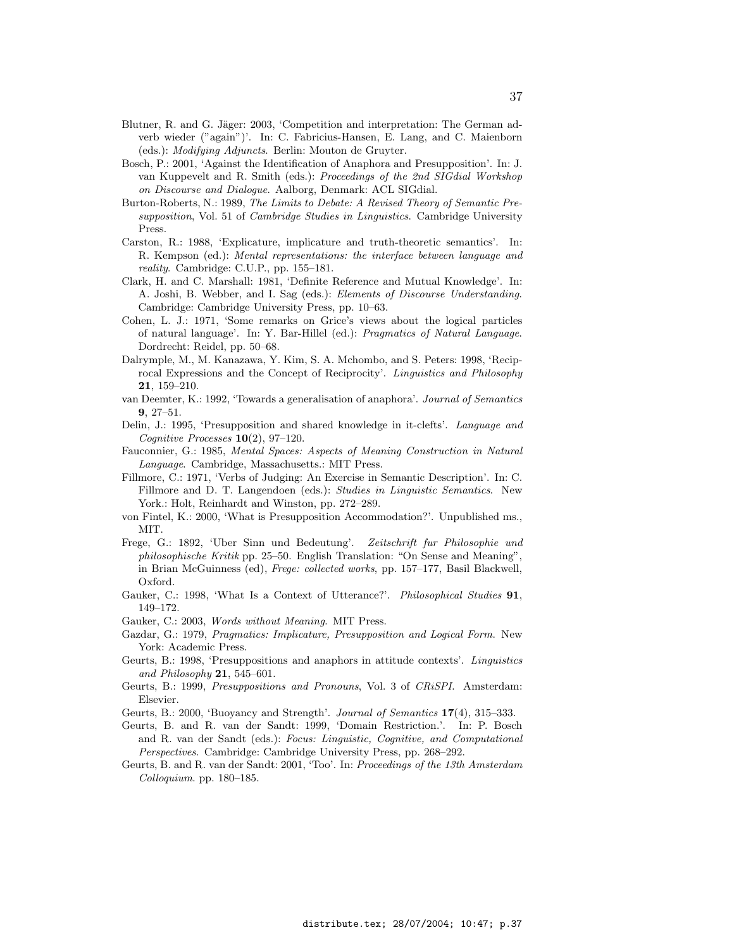- Blutner, R. and G. Jäger: 2003, 'Competition and interpretation: The German adverb wieder ("again")'. In: C. Fabricius-Hansen, E. Lang, and C. Maienborn (eds.): Modifying Adjuncts. Berlin: Mouton de Gruyter.
- Bosch, P.: 2001, 'Against the Identification of Anaphora and Presupposition'. In: J. van Kuppevelt and R. Smith (eds.): Proceedings of the 2nd SIGdial Workshop on Discourse and Dialogue. Aalborg, Denmark: ACL SIGdial.
- Burton-Roberts, N.: 1989, The Limits to Debate: A Revised Theory of Semantic Presupposition, Vol. 51 of *Cambridge Studies in Linguistics*. Cambridge University Press.
- Carston, R.: 1988, 'Explicature, implicature and truth-theoretic semantics'. In: R. Kempson (ed.): Mental representations: the interface between language and reality. Cambridge: C.U.P., pp. 155–181.
- Clark, H. and C. Marshall: 1981, 'Definite Reference and Mutual Knowledge'. In: A. Joshi, B. Webber, and I. Sag (eds.): Elements of Discourse Understanding. Cambridge: Cambridge University Press, pp. 10–63.
- Cohen, L. J.: 1971, 'Some remarks on Grice's views about the logical particles of natural language'. In: Y. Bar-Hillel (ed.): Pragmatics of Natural Language. Dordrecht: Reidel, pp. 50–68.
- Dalrymple, M., M. Kanazawa, Y. Kim, S. A. Mchombo, and S. Peters: 1998, 'Reciprocal Expressions and the Concept of Reciprocity'. Linguistics and Philosophy 21, 159–210.
- van Deemter, K.: 1992, 'Towards a generalisation of anaphora'. Journal of Semantics 9, 27–51.
- Delin, J.: 1995, 'Presupposition and shared knowledge in it-clefts'. Language and Cognitive Processes 10(2), 97–120.
- Fauconnier, G.: 1985, Mental Spaces: Aspects of Meaning Construction in Natural Language. Cambridge, Massachusetts.: MIT Press.
- Fillmore, C.: 1971, 'Verbs of Judging: An Exercise in Semantic Description'. In: C. Fillmore and D. T. Langendoen (eds.): Studies in Linguistic Semantics. New York.: Holt, Reinhardt and Winston, pp. 272–289.
- von Fintel, K.: 2000, 'What is Presupposition Accommodation?'. Unpublished ms., MIT.
- Frege, G.: 1892, 'Uber Sinn und Bedeutung'. Zeitschrift fur Philosophie und philosophische Kritik pp. 25–50. English Translation: "On Sense and Meaning", in Brian McGuinness (ed), Frege: collected works, pp. 157–177, Basil Blackwell, Oxford.
- Gauker, C.: 1998, 'What Is a Context of Utterance?'. Philosophical Studies 91, 149–172.
- Gauker, C.: 2003, Words without Meaning. MIT Press.
- Gazdar, G.: 1979, Pragmatics: Implicature, Presupposition and Logical Form. New York: Academic Press.
- Geurts, B.: 1998, 'Presuppositions and anaphors in attitude contexts'. Linguistics and Philosophy 21, 545–601.
- Geurts, B.: 1999, Presuppositions and Pronouns, Vol. 3 of CRiSPI. Amsterdam: Elsevier.
- Geurts, B.: 2000, 'Buoyancy and Strength'. Journal of Semantics 17(4), 315–333.
- Geurts, B. and R. van der Sandt: 1999, 'Domain Restriction.'. In: P. Bosch and R. van der Sandt (eds.): Focus: Linguistic, Cognitive, and Computational Perspectives. Cambridge: Cambridge University Press, pp. 268–292.
- Geurts, B. and R. van der Sandt: 2001, 'Too'. In: Proceedings of the 13th Amsterdam Colloquium. pp. 180–185.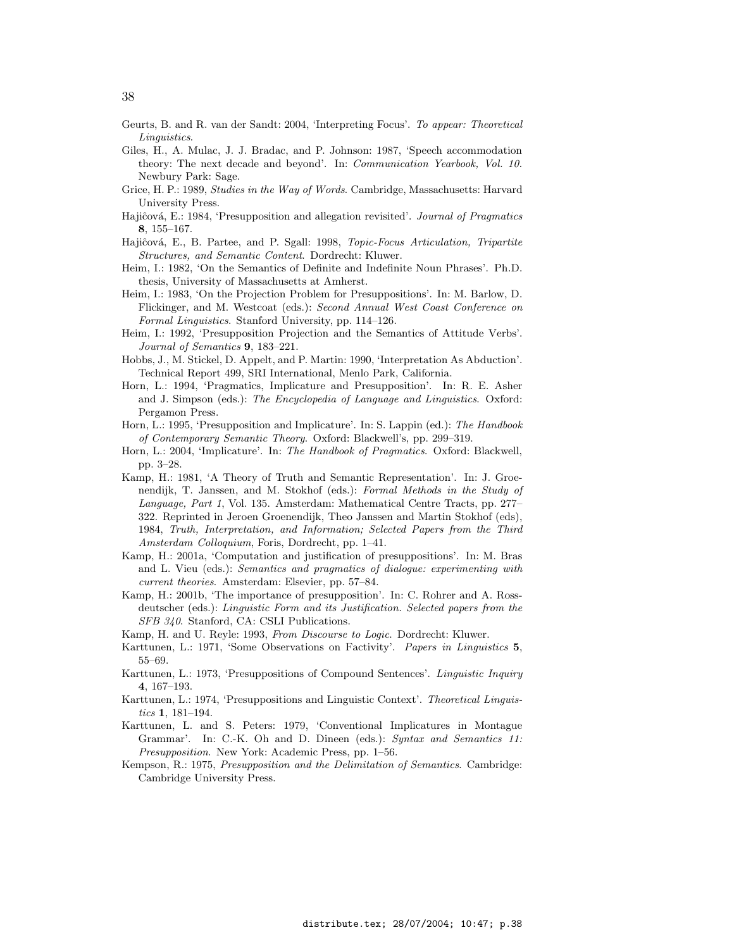- Geurts, B. and R. van der Sandt: 2004, 'Interpreting Focus'. To appear: Theoretical Linguistics.
- Giles, H., A. Mulac, J. J. Bradac, and P. Johnson: 1987, 'Speech accommodation theory: The next decade and beyond'. In: Communication Yearbook, Vol. 10. Newbury Park: Sage.
- Grice, H. P.: 1989, Studies in the Way of Words. Cambridge, Massachusetts: Harvard University Press.
- Hajiĉová, E.: 1984, 'Presupposition and allegation revisited'. Journal of Pragmatics 8, 155–167.
- Hajiĉová, E., B. Partee, and P. Sgall: 1998, Topic-Focus Articulation, Tripartite Structures, and Semantic Content. Dordrecht: Kluwer.
- Heim, I.: 1982, 'On the Semantics of Definite and Indefinite Noun Phrases'. Ph.D. thesis, University of Massachusetts at Amherst.
- Heim, I.: 1983, 'On the Projection Problem for Presuppositions'. In: M. Barlow, D. Flickinger, and M. Westcoat (eds.): Second Annual West Coast Conference on Formal Linguistics. Stanford University, pp. 114–126.
- Heim, I.: 1992, 'Presupposition Projection and the Semantics of Attitude Verbs'. Journal of Semantics 9, 183–221.
- Hobbs, J., M. Stickel, D. Appelt, and P. Martin: 1990, 'Interpretation As Abduction'. Technical Report 499, SRI International, Menlo Park, California.
- Horn, L.: 1994, 'Pragmatics, Implicature and Presupposition'. In: R. E. Asher and J. Simpson (eds.): The Encyclopedia of Language and Linguistics. Oxford: Pergamon Press.
- Horn, L.: 1995, 'Presupposition and Implicature'. In: S. Lappin (ed.): The Handbook of Contemporary Semantic Theory. Oxford: Blackwell's, pp. 299–319.
- Horn, L.: 2004, 'Implicature'. In: The Handbook of Pragmatics. Oxford: Blackwell, pp. 3–28.
- Kamp, H.: 1981, 'A Theory of Truth and Semantic Representation'. In: J. Groenendijk, T. Janssen, and M. Stokhof (eds.): Formal Methods in the Study of Language, Part 1, Vol. 135. Amsterdam: Mathematical Centre Tracts, pp. 277– 322. Reprinted in Jeroen Groenendijk, Theo Janssen and Martin Stokhof (eds), 1984, Truth, Interpretation, and Information; Selected Papers from the Third Amsterdam Colloquium, Foris, Dordrecht, pp. 1–41.
- Kamp, H.: 2001a, 'Computation and justification of presuppositions'. In: M. Bras and L. Vieu (eds.): Semantics and pragmatics of dialogue: experimenting with current theories. Amsterdam: Elsevier, pp. 57–84.
- Kamp, H.: 2001b, 'The importance of presupposition'. In: C. Rohrer and A. Rossdeutscher (eds.): Linguistic Form and its Justification. Selected papers from the SFB 340. Stanford, CA: CSLI Publications.
- Kamp, H. and U. Reyle: 1993, From Discourse to Logic. Dordrecht: Kluwer.
- Karttunen, L.: 1971, 'Some Observations on Factivity'. Papers in Linguistics 5, 55–69.
- Karttunen, L.: 1973, 'Presuppositions of Compound Sentences'. Linguistic Inquiry 4, 167–193.
- Karttunen, L.: 1974, 'Presuppositions and Linguistic Context'. Theoretical Linguistics 1, 181–194.
- Karttunen, L. and S. Peters: 1979, 'Conventional Implicatures in Montague Grammar'. In: C.-K. Oh and D. Dineen (eds.): Syntax and Semantics 11: Presupposition. New York: Academic Press, pp. 1–56.
- Kempson, R.: 1975, Presupposition and the Delimitation of Semantics. Cambridge: Cambridge University Press.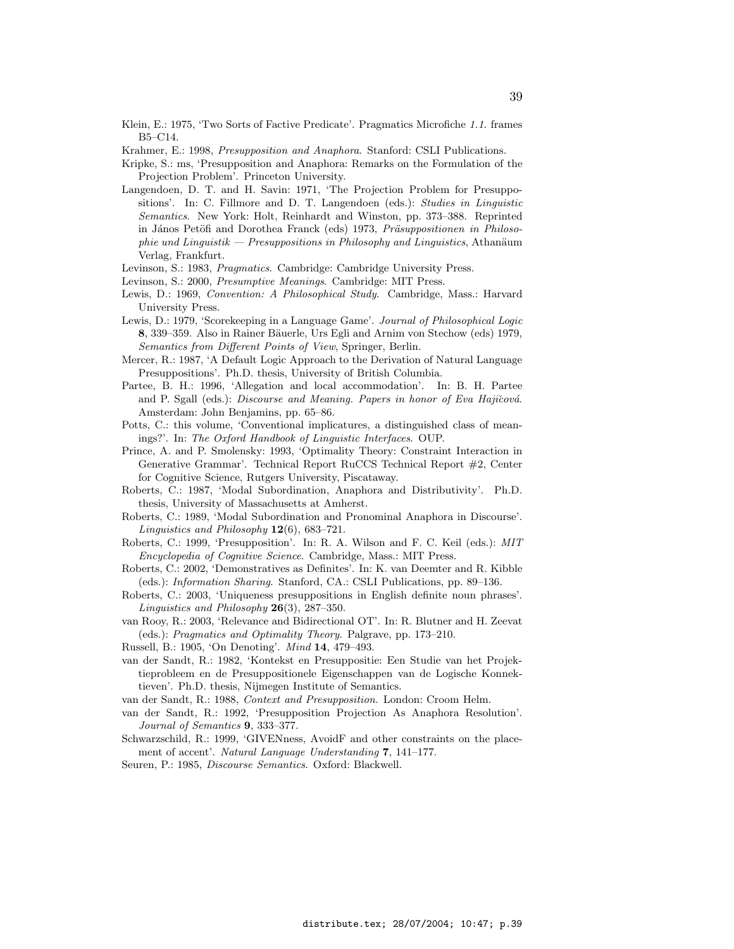- Klein, E.: 1975, 'Two Sorts of Factive Predicate'. Pragmatics Microfiche 1.1. frames B5–C14.
- Krahmer, E.: 1998, Presupposition and Anaphora. Stanford: CSLI Publications.
- Kripke, S.: ms, 'Presupposition and Anaphora: Remarks on the Formulation of the Projection Problem'. Princeton University.
- Langendoen, D. T. and H. Savin: 1971, 'The Projection Problem for Presuppositions'. In: C. Fillmore and D. T. Langendoen (eds.): Studies in Linguistic Semantics. New York: Holt, Reinhardt and Winston, pp. 373–388. Reprinted in János Petöfi and Dorothea Franck (eds) 1973, Präsuppositionen in Philosophie und Linguistik — Presuppositions in Philosophy and Linguistics, Athanäum Verlag, Frankfurt.
- Levinson, S.: 1983, Pragmatics. Cambridge: Cambridge University Press.
- Levinson, S.: 2000, Presumptive Meanings. Cambridge: MIT Press.
- Lewis, D.: 1969, Convention: A Philosophical Study. Cambridge, Mass.: Harvard University Press.
- Lewis, D.: 1979, 'Scorekeeping in a Language Game'. Journal of Philosophical Logic 8, 339–359. Also in Rainer Bäuerle, Urs Egli and Arnim von Stechow (eds) 1979, Semantics from Different Points of View, Springer, Berlin.
- Mercer, R.: 1987, 'A Default Logic Approach to the Derivation of Natural Language Presuppositions'. Ph.D. thesis, University of British Columbia.
- Partee, B. H.: 1996, 'Allegation and local accommodation'. In: B. H. Partee and P. Sgall (eds.): *Discourse and Meaning. Papers in honor of Eva Haji*čová. Amsterdam: John Benjamins, pp. 65–86.
- Potts, C.: this volume, 'Conventional implicatures, a distinguished class of meanings?'. In: The Oxford Handbook of Linguistic Interfaces. OUP.
- Prince, A. and P. Smolensky: 1993, 'Optimality Theory: Constraint Interaction in Generative Grammar'. Technical Report RuCCS Technical Report #2, Center for Cognitive Science, Rutgers University, Piscataway.
- Roberts, C.: 1987, 'Modal Subordination, Anaphora and Distributivity'. Ph.D. thesis, University of Massachusetts at Amherst.
- Roberts, C.: 1989, 'Modal Subordination and Pronominal Anaphora in Discourse'. Linguistics and Philosophy  $12(6)$ , 683–721.
- Roberts, C.: 1999, 'Presupposition'. In: R. A. Wilson and F. C. Keil (eds.): MIT Encyclopedia of Cognitive Science. Cambridge, Mass.: MIT Press.
- Roberts, C.: 2002, 'Demonstratives as Definites'. In: K. van Deemter and R. Kibble (eds.): Information Sharing. Stanford, CA.: CSLI Publications, pp. 89–136.
- Roberts, C.: 2003, 'Uniqueness presuppositions in English definite noun phrases'. Linguistics and Philosophy  $26(3)$ , 287–350.

van Rooy, R.: 2003, 'Relevance and Bidirectional OT'. In: R. Blutner and H. Zeevat (eds.): Pragmatics and Optimality Theory. Palgrave, pp. 173–210.

Russell, B.: 1905, 'On Denoting'. Mind 14, 479–493.

van der Sandt, R.: 1982, 'Kontekst en Presuppositie: Een Studie van het Projektieprobleem en de Presuppositionele Eigenschappen van de Logische Konnektieven'. Ph.D. thesis, Nijmegen Institute of Semantics.

van der Sandt, R.: 1988, Context and Presupposition. London: Croom Helm.

- van der Sandt, R.: 1992, 'Presupposition Projection As Anaphora Resolution'. Journal of Semantics 9, 333–377.
- Schwarzschild, R.: 1999, 'GIVENness, AvoidF and other constraints on the placement of accent'. Natural Language Understanding 7, 141–177.
- Seuren, P.: 1985, Discourse Semantics. Oxford: Blackwell.